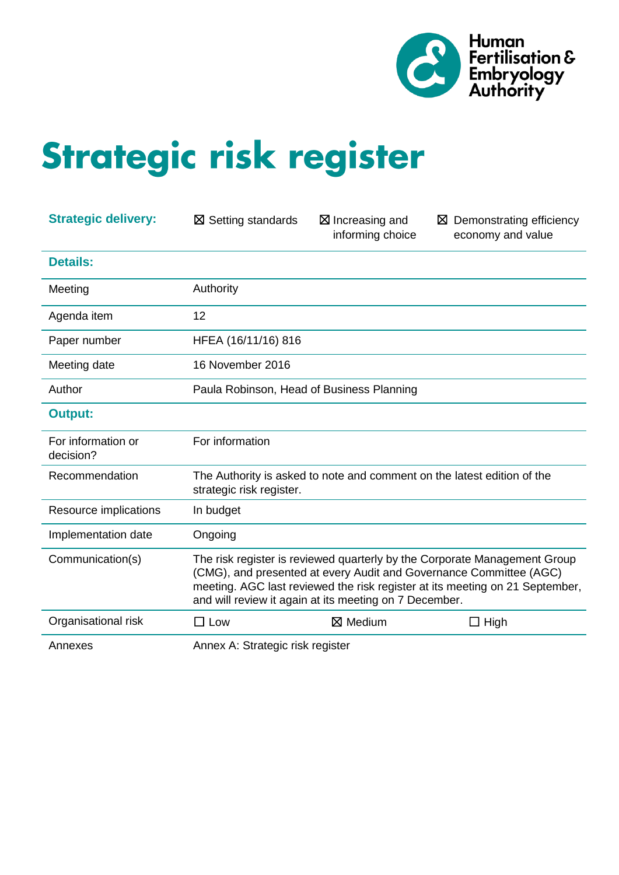

# Strategic risk register

| <b>Strategic delivery:</b>      | $\boxtimes$ Setting standards                                                                                                                                                                                                                                                             | $\boxtimes$ Increasing and<br>informing choice                          | $\boxtimes$ Demonstrating efficiency<br>economy and value |  |  |  |  |
|---------------------------------|-------------------------------------------------------------------------------------------------------------------------------------------------------------------------------------------------------------------------------------------------------------------------------------------|-------------------------------------------------------------------------|-----------------------------------------------------------|--|--|--|--|
| <b>Details:</b>                 |                                                                                                                                                                                                                                                                                           |                                                                         |                                                           |  |  |  |  |
| Meeting                         | Authority                                                                                                                                                                                                                                                                                 |                                                                         |                                                           |  |  |  |  |
| Agenda item                     | 12                                                                                                                                                                                                                                                                                        |                                                                         |                                                           |  |  |  |  |
| Paper number                    | HFEA (16/11/16) 816                                                                                                                                                                                                                                                                       |                                                                         |                                                           |  |  |  |  |
| Meeting date                    | 16 November 2016                                                                                                                                                                                                                                                                          |                                                                         |                                                           |  |  |  |  |
| Author                          | Paula Robinson, Head of Business Planning                                                                                                                                                                                                                                                 |                                                                         |                                                           |  |  |  |  |
| <b>Output:</b>                  |                                                                                                                                                                                                                                                                                           |                                                                         |                                                           |  |  |  |  |
| For information or<br>decision? | For information                                                                                                                                                                                                                                                                           |                                                                         |                                                           |  |  |  |  |
| Recommendation                  | strategic risk register.                                                                                                                                                                                                                                                                  | The Authority is asked to note and comment on the latest edition of the |                                                           |  |  |  |  |
| Resource implications           | In budget                                                                                                                                                                                                                                                                                 |                                                                         |                                                           |  |  |  |  |
| Implementation date             | Ongoing                                                                                                                                                                                                                                                                                   |                                                                         |                                                           |  |  |  |  |
| Communication(s)                | The risk register is reviewed quarterly by the Corporate Management Group<br>(CMG), and presented at every Audit and Governance Committee (AGC)<br>meeting. AGC last reviewed the risk register at its meeting on 21 September,<br>and will review it again at its meeting on 7 December. |                                                                         |                                                           |  |  |  |  |
| Organisational risk             | $\square$ Low                                                                                                                                                                                                                                                                             | $\boxtimes$ Medium                                                      | $\Box$ High                                               |  |  |  |  |
| Annexes                         | Annex A: Strategic risk register                                                                                                                                                                                                                                                          |                                                                         |                                                           |  |  |  |  |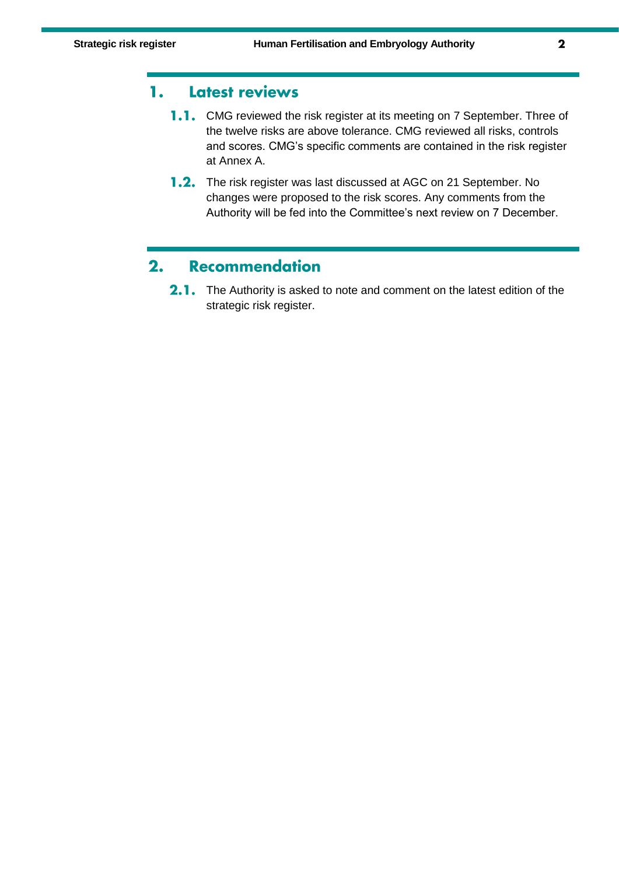#### 1. Latest reviews

- 1.1. CMG reviewed the risk register at its meeting on 7 September. Three of the twelve risks are above tolerance. CMG reviewed all risks, controls and scores. CMG's specific comments are contained in the risk register at Annex A.
- 1.2. The risk register was last discussed at AGC on 21 September. No changes were proposed to the risk scores. Any comments from the Authority will be fed into the Committee's next review on 7 December.

#### $2.$ **Recommendation**

2.1. The Authority is asked to note and comment on the latest edition of the strategic risk register.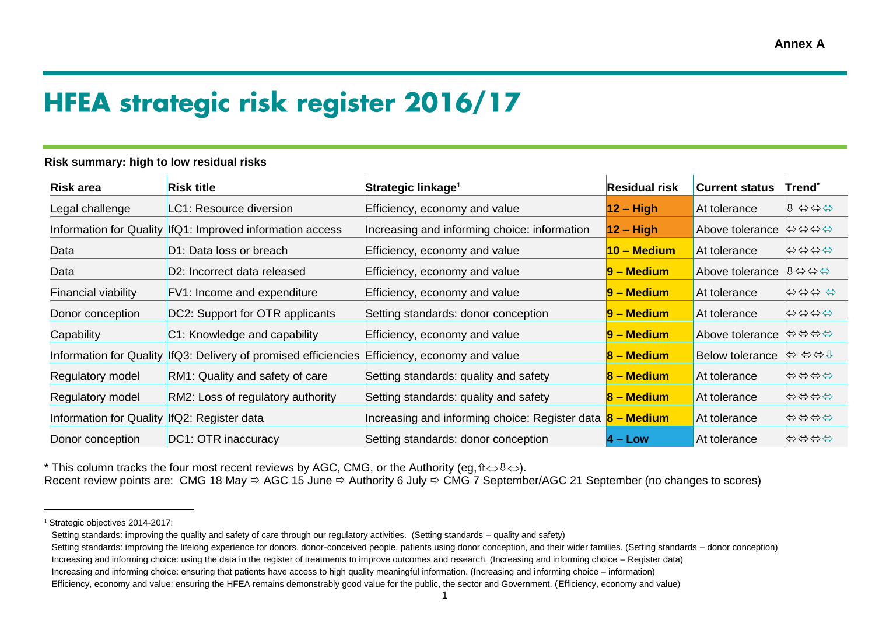# **HFEA strategic risk register 2016/17**

#### **Risk summary: high to low residual risks**

| Risk area                                    | Risk title                                                                                     | Strategic linkage <sup>1</sup>                 | <b>Residual risk</b> | <b>Current status</b>  | Trend       |
|----------------------------------------------|------------------------------------------------------------------------------------------------|------------------------------------------------|----------------------|------------------------|-------------|
| Legal challenge                              | LC1: Resource diversion                                                                        | Efficiency, economy and value                  | $12 - High$          | At tolerance           | 1 分分分       |
|                                              | Information for Quality   If Q1: Improved information access                                   | Increasing and informing choice: information   | $12 - High$          | Above tolerance        | 1⇔⇔⇔⇔       |
| Data                                         | D1: Data loss or breach                                                                        | Efficiency, economy and value                  | $10 - Median$        | At tolerance           | <b>むむむむ</b> |
| Data                                         | D2: Incorrect data released                                                                    | Efficiency, economy and value                  | $9 - Medium$         | Above tolerance        | ↑⇔⇔⇔        |
| <b>Financial viability</b>                   | FV1: Income and expenditure                                                                    | Efficiency, economy and value                  | $9 - Medium$         | At tolerance           | むむむむ        |
| Donor conception                             | DC2: Support for OTR applicants                                                                | Setting standards: donor conception            | $9 - Medium$         | At tolerance           | ⇔⇔⇔⇔        |
| Capability                                   | C1: Knowledge and capability                                                                   | Efficiency, economy and value                  | $9 - Medium$         | Above tolerance        | 1⇔⇔⇔⇔       |
|                                              | Information for Quality  IfQ3: Delivery of promised efficiencies Efficiency, economy and value |                                                | 8 – Medium           | <b>Below tolerance</b> | ⇔ ⇔⇔↑       |
| Regulatory model                             | RM1: Quality and safety of care                                                                | Setting standards: quality and safety          | $8 - Medium$         | At tolerance           | ⇔⇔⇔         |
| Regulatory model                             | RM2: Loss of regulatory authority                                                              | Setting standards: quality and safety          | 8 – Medium           | At tolerance           | ⇔⇔⇔⇔        |
| Information for Quality  IfQ2: Register data |                                                                                                | Increasing and informing choice: Register data | 8 – Medium           | At tolerance           | 1300        |
| Donor conception                             | DC1: OTR inaccuracy                                                                            | Setting standards: donor conception            | $4 - Low$            | At tolerance           | ⇔⇔⇔         |

<sup>\*</sup> This column tracks the four most recent reviews by AGC, CMG, or the Authority (eg,  $\hat{v} \Leftrightarrow \hat{v} \Leftrightarrow$ ).

Recent review points are: CMG 18 May  $\Rightarrow$  AGC 15 June  $\Rightarrow$  Authority 6 July  $\Rightarrow$  CMG 7 September/AGC 21 September (no changes to scores)

 $\overline{a}$ 

<sup>&</sup>lt;sup>1</sup> Strategic objectives 2014-2017:

Setting standards: improving the quality and safety of care through our regulatory activities. (Setting standards – quality and safety)

Setting standards: improving the lifelong experience for donors, donor-conceived people, patients using donor conception, and their wider families, (Setting standards – donor conception)

Increasing and informing choice: using the data in the register of treatments to improve outcomes and research. (Increasing and informing choice – Register data)

Increasing and informing choice: ensuring that patients have access to high quality meaningful information. (Increasing and informing choice – information)

Efficiency, economy and value: ensuring the HFEA remains demonstrably good value for the public, the sector and Government. (Efficiency, economy and value)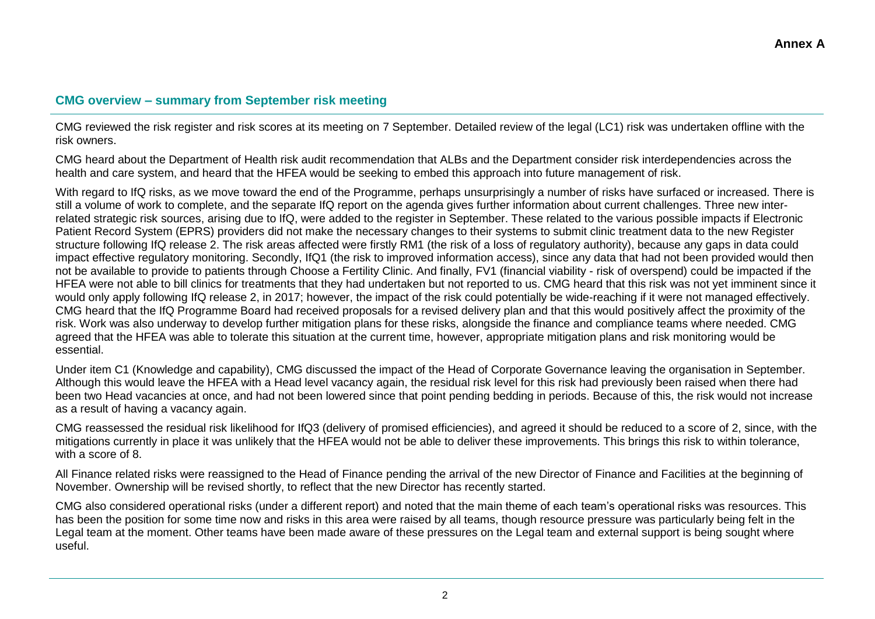#### **CMG overview – summary from September risk meeting**

CMG reviewed the risk register and risk scores at its meeting on 7 September. Detailed review of the legal (LC1) risk was undertaken offline with the risk owners.

CMG heard about the Department of Health risk audit recommendation that ALBs and the Department consider risk interdependencies across the health and care system, and heard that the HFEA would be seeking to embed this approach into future management of risk.

With regard to IfQ risks, as we move toward the end of the Programme, perhaps unsurprisingly a number of risks have surfaced or increased. There is still a volume of work to complete, and the separate IfQ report on the agenda gives further information about current challenges. Three new interrelated strategic risk sources, arising due to IfQ, were added to the register in September. These related to the various possible impacts if Electronic Patient Record System (EPRS) providers did not make the necessary changes to their systems to submit clinic treatment data to the new Register structure following IfQ release 2. The risk areas affected were firstly RM1 (the risk of a loss of regulatory authority), because any gaps in data could impact effective regulatory monitoring. Secondly, IfQ1 (the risk to improved information access), since any data that had not been provided would then not be available to provide to patients through Choose a Fertility Clinic. And finally, FV1 (financial viability - risk of overspend) could be impacted if the HFEA were not able to bill clinics for treatments that they had undertaken but not reported to us. CMG heard that this risk was not yet imminent since it would only apply following IfQ release 2, in 2017; however, the impact of the risk could potentially be wide-reaching if it were not managed effectively. CMG heard that the IfQ Programme Board had received proposals for a revised delivery plan and that this would positively affect the proximity of the risk. Work was also underway to develop further mitigation plans for these risks, alongside the finance and compliance teams where needed. CMG agreed that the HFEA was able to tolerate this situation at the current time, however, appropriate mitigation plans and risk monitoring would be essential.

Under item C1 (Knowledge and capability), CMG discussed the impact of the Head of Corporate Governance leaving the organisation in September. Although this would leave the HFEA with a Head level vacancy again, the residual risk level for this risk had previously been raised when there had been two Head vacancies at once, and had not been lowered since that point pending bedding in periods. Because of this, the risk would not increase as a result of having a vacancy again.

CMG reassessed the residual risk likelihood for IfQ3 (delivery of promised efficiencies), and agreed it should be reduced to a score of 2, since, with the mitigations currently in place it was unlikely that the HFEA would not be able to deliver these improvements. This brings this risk to within tolerance, with a score of 8.

All Finance related risks were reassigned to the Head of Finance pending the arrival of the new Director of Finance and Facilities at the beginning of November. Ownership will be revised shortly, to reflect that the new Director has recently started.

CMG also considered operational risks (under a different report) and noted that the main theme of each team's operational risks was resources. This has been the position for some time now and risks in this area were raised by all teams, though resource pressure was particularly being felt in the Legal team at the moment. Other teams have been made aware of these pressures on the Legal team and external support is being sought where useful.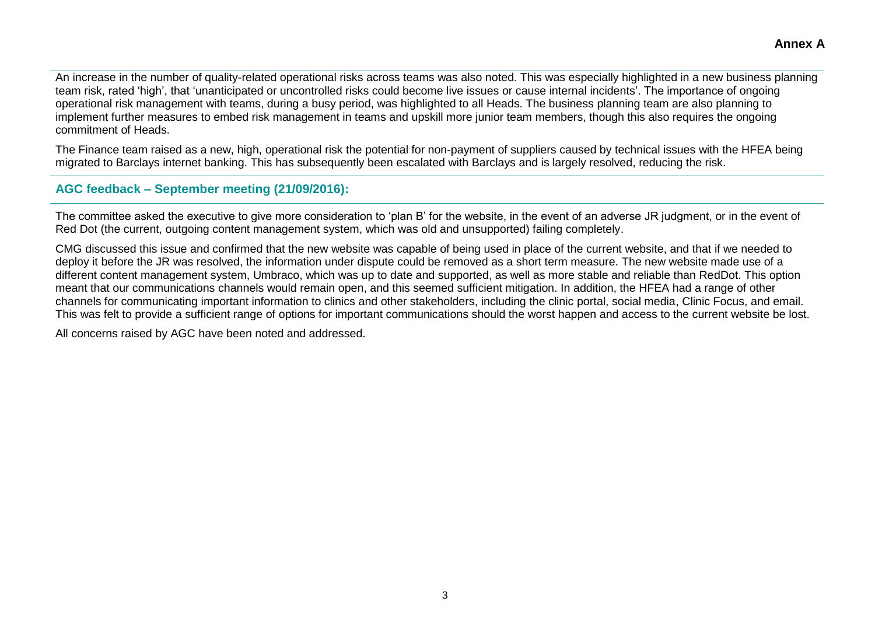An increase in the number of quality-related operational risks across teams was also noted. This was especially highlighted in a new business planning team risk, rated 'high', that 'unanticipated or uncontrolled risks could become live issues or cause internal incidents'. The importance of ongoing operational risk management with teams, during a busy period, was highlighted to all Heads. The business planning team are also planning to implement further measures to embed risk management in teams and upskill more junior team members, though this also requires the ongoing commitment of Heads.

The Finance team raised as a new, high, operational risk the potential for non-payment of suppliers caused by technical issues with the HFEA being migrated to Barclays internet banking. This has subsequently been escalated with Barclays and is largely resolved, reducing the risk.

#### **AGC feedback – September meeting (21/09/2016):**

The committee asked the executive to give more consideration to 'plan B' for the website, in the event of an adverse JR judgment, or in the event of Red Dot (the current, outgoing content management system, which was old and unsupported) failing completely.

CMG discussed this issue and confirmed that the new website was capable of being used in place of the current website, and that if we needed to deploy it before the JR was resolved, the information under dispute could be removed as a short term measure. The new website made use of a different content management system, Umbraco, which was up to date and supported, as well as more stable and reliable than RedDot. This option meant that our communications channels would remain open, and this seemed sufficient mitigation. In addition, the HFEA had a range of other channels for communicating important information to clinics and other stakeholders, including the clinic portal, social media, Clinic Focus, and email. This was felt to provide a sufficient range of options for important communications should the worst happen and access to the current website be lost.

All concerns raised by AGC have been noted and addressed.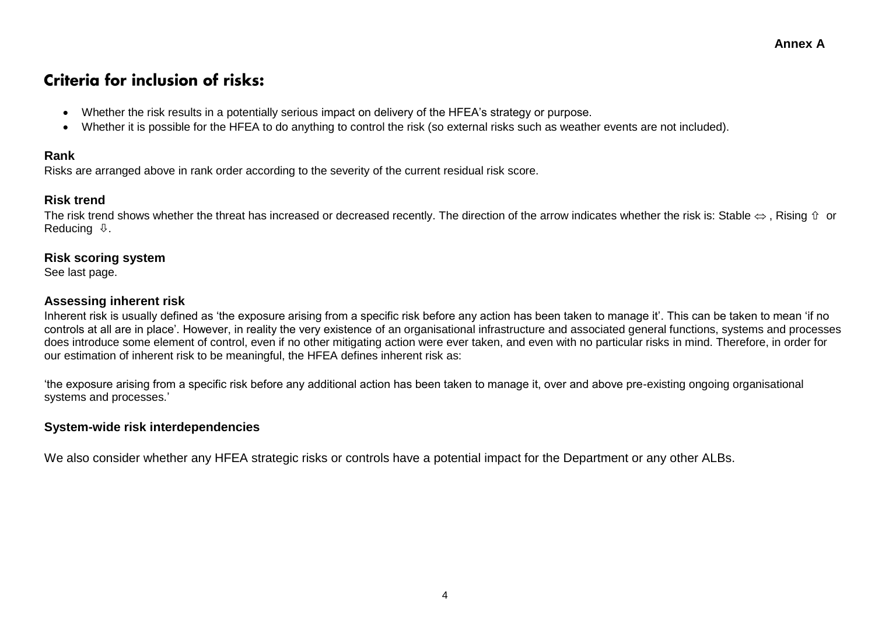### Criteria for inclusion of risks:

- Whether the risk results in a potentially serious impact on delivery of the HFEA's strategy or purpose.
- Whether it is possible for the HFEA to do anything to control the risk (so external risks such as weather events are not included).

#### **Rank**

Risks are arranged above in rank order according to the severity of the current residual risk score.

#### **Risk trend**

The risk trend shows whether the threat has increased or decreased recently. The direction of the arrow indicates whether the risk is: Stable  $\Leftrightarrow$ , Rising  $\hat{v}$  or Reducing  $\mathbb Q$ .

#### **Risk scoring system**

See last page.

#### **Assessing inherent risk**

Inherent risk is usually defined as 'the exposure arising from a specific risk before any action has been taken to manage it'. This can be taken to mean 'if no controls at all are in place'. However, in reality the very existence of an organisational infrastructure and associated general functions, systems and processes does introduce some element of control, even if no other mitigating action were ever taken, and even with no particular risks in mind. Therefore, in order for our estimation of inherent risk to be meaningful, the HFEA defines inherent risk as:

'the exposure arising from a specific risk before any additional action has been taken to manage it, over and above pre-existing ongoing organisational systems and processes.'

#### **System-wide risk interdependencies**

We also consider whether any HFEA strategic risks or controls have a potential impact for the Department or any other ALBs.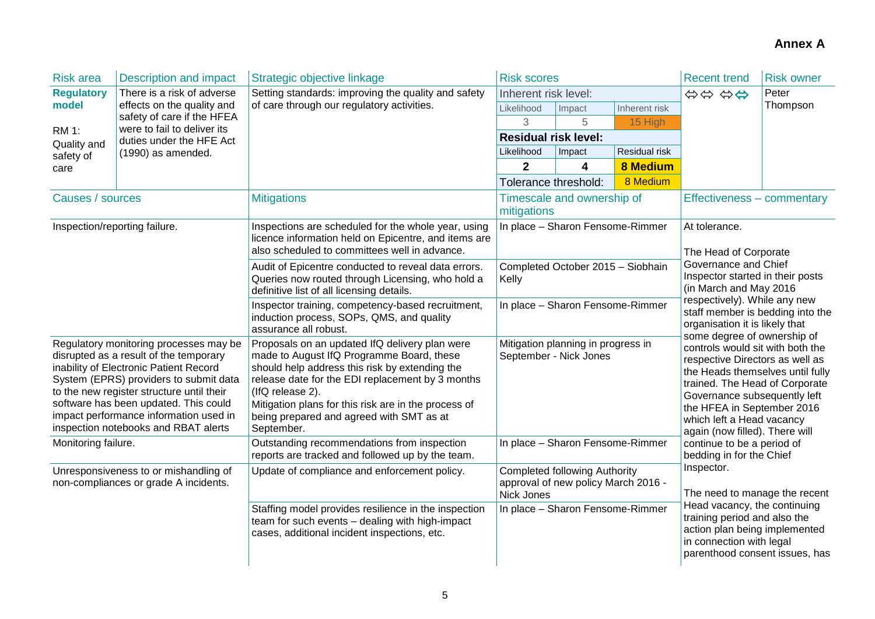| <b>Risk area</b>                                                                                                                                                                                                                                                                                                                             | <b>Description and impact</b>                            | Strategic objective linkage                                                                                                                                                                                                                                                                                                             | <b>Risk scores</b>                                                                                                            |                                  |                                                                                                                                                                                                            | <b>Recent trend</b>                                                                                                                                                                                                                                                                                                                                                                                                                                                                                                                                         | <b>Risk owner</b> |
|----------------------------------------------------------------------------------------------------------------------------------------------------------------------------------------------------------------------------------------------------------------------------------------------------------------------------------------------|----------------------------------------------------------|-----------------------------------------------------------------------------------------------------------------------------------------------------------------------------------------------------------------------------------------------------------------------------------------------------------------------------------------|-------------------------------------------------------------------------------------------------------------------------------|----------------------------------|------------------------------------------------------------------------------------------------------------------------------------------------------------------------------------------------------------|-------------------------------------------------------------------------------------------------------------------------------------------------------------------------------------------------------------------------------------------------------------------------------------------------------------------------------------------------------------------------------------------------------------------------------------------------------------------------------------------------------------------------------------------------------------|-------------------|
| <b>Regulatory</b>                                                                                                                                                                                                                                                                                                                            | There is a risk of adverse                               | Setting standards: improving the quality and safety                                                                                                                                                                                                                                                                                     | Inherent risk level:                                                                                                          |                                  |                                                                                                                                                                                                            | 00000                                                                                                                                                                                                                                                                                                                                                                                                                                                                                                                                                       | Peter             |
| model                                                                                                                                                                                                                                                                                                                                        | effects on the quality and<br>safety of care if the HFEA | of care through our regulatory activities.                                                                                                                                                                                                                                                                                              | Likelihood                                                                                                                    | Impact                           | Inherent risk                                                                                                                                                                                              |                                                                                                                                                                                                                                                                                                                                                                                                                                                                                                                                                             | Thompson          |
| <b>RM 1:</b>                                                                                                                                                                                                                                                                                                                                 | were to fail to deliver its                              |                                                                                                                                                                                                                                                                                                                                         | $\sqrt{3}$                                                                                                                    | 5                                | 15 High                                                                                                                                                                                                    |                                                                                                                                                                                                                                                                                                                                                                                                                                                                                                                                                             |                   |
| Quality and                                                                                                                                                                                                                                                                                                                                  | duties under the HFE Act                                 |                                                                                                                                                                                                                                                                                                                                         | <b>Residual risk level:</b>                                                                                                   |                                  |                                                                                                                                                                                                            |                                                                                                                                                                                                                                                                                                                                                                                                                                                                                                                                                             |                   |
| safety of                                                                                                                                                                                                                                                                                                                                    | (1990) as amended.                                       |                                                                                                                                                                                                                                                                                                                                         | Likelihood                                                                                                                    | Impact                           | Residual risk                                                                                                                                                                                              |                                                                                                                                                                                                                                                                                                                                                                                                                                                                                                                                                             |                   |
| care                                                                                                                                                                                                                                                                                                                                         |                                                          |                                                                                                                                                                                                                                                                                                                                         | $\mathbf{2}$                                                                                                                  | 4                                | <b>8 Medium</b>                                                                                                                                                                                            |                                                                                                                                                                                                                                                                                                                                                                                                                                                                                                                                                             |                   |
|                                                                                                                                                                                                                                                                                                                                              |                                                          |                                                                                                                                                                                                                                                                                                                                         | Tolerance threshold:                                                                                                          |                                  | 8 Medium                                                                                                                                                                                                   |                                                                                                                                                                                                                                                                                                                                                                                                                                                                                                                                                             |                   |
| Causes / sources                                                                                                                                                                                                                                                                                                                             |                                                          | <b>Mitigations</b>                                                                                                                                                                                                                                                                                                                      | mitigations                                                                                                                   | Timescale and ownership of       |                                                                                                                                                                                                            | Effectiveness - commentary                                                                                                                                                                                                                                                                                                                                                                                                                                                                                                                                  |                   |
| Inspection/reporting failure.                                                                                                                                                                                                                                                                                                                |                                                          | Inspections are scheduled for the whole year, using<br>licence information held on Epicentre, and items are<br>also scheduled to committees well in advance.                                                                                                                                                                            |                                                                                                                               | In place - Sharon Fensome-Rimmer |                                                                                                                                                                                                            | At tolerance.<br>The Head of Corporate                                                                                                                                                                                                                                                                                                                                                                                                                                                                                                                      |                   |
|                                                                                                                                                                                                                                                                                                                                              |                                                          | Audit of Epicentre conducted to reveal data errors.<br>Queries now routed through Licensing, who hold a<br>definitive list of all licensing details.                                                                                                                                                                                    | Completed October 2015 - Siobhain<br>Kelly                                                                                    |                                  |                                                                                                                                                                                                            | Governance and Chief<br>Inspector started in their posts<br>(in March and May 2016<br>respectively). While any new<br>staff member is bedding into the<br>organisation it is likely that<br>some degree of ownership of<br>controls would sit with both the<br>respective Directors as well as<br>the Heads themselves until fully<br>trained. The Head of Corporate<br>Governance subsequently left<br>the HFEA in September 2016<br>which left a Head vacancy<br>again (now filled). There will<br>continue to be a period of<br>bedding in for the Chief |                   |
|                                                                                                                                                                                                                                                                                                                                              |                                                          | Inspector training, competency-based recruitment,<br>induction process, SOPs, QMS, and quality<br>assurance all robust.                                                                                                                                                                                                                 | In place - Sharon Fensome-Rimmer                                                                                              |                                  |                                                                                                                                                                                                            |                                                                                                                                                                                                                                                                                                                                                                                                                                                                                                                                                             |                   |
| Regulatory monitoring processes may be<br>disrupted as a result of the temporary<br>inability of Electronic Patient Record<br>System (EPRS) providers to submit data<br>to the new register structure until their<br>software has been updated. This could<br>impact performance information used in<br>inspection notebooks and RBAT alerts |                                                          | Proposals on an updated IfQ delivery plan were<br>made to August IfQ Programme Board, these<br>should help address this risk by extending the<br>release date for the EDI replacement by 3 months<br>(IfQ release 2).<br>Mitigation plans for this risk are in the process of<br>being prepared and agreed with SMT as at<br>September. | Mitigation planning in progress in<br>September - Nick Jones                                                                  |                                  |                                                                                                                                                                                                            |                                                                                                                                                                                                                                                                                                                                                                                                                                                                                                                                                             |                   |
| Monitoring failure.                                                                                                                                                                                                                                                                                                                          |                                                          | Outstanding recommendations from inspection<br>reports are tracked and followed up by the team.                                                                                                                                                                                                                                         | In place - Sharon Fensome-Rimmer                                                                                              |                                  |                                                                                                                                                                                                            |                                                                                                                                                                                                                                                                                                                                                                                                                                                                                                                                                             |                   |
| Unresponsiveness to or mishandling of<br>non-compliances or grade A incidents.                                                                                                                                                                                                                                                               |                                                          | Update of compliance and enforcement policy.                                                                                                                                                                                                                                                                                            | <b>Completed following Authority</b><br>approval of new policy March 2016 -<br>Nick Jones<br>In place - Sharon Fensome-Rimmer |                                  | Inspector.<br>The need to manage the recent<br>Head vacancy, the continuing<br>training period and also the<br>action plan being implemented<br>in connection with legal<br>parenthood consent issues, has |                                                                                                                                                                                                                                                                                                                                                                                                                                                                                                                                                             |                   |
|                                                                                                                                                                                                                                                                                                                                              |                                                          | Staffing model provides resilience in the inspection<br>team for such events - dealing with high-impact<br>cases, additional incident inspections, etc.                                                                                                                                                                                 |                                                                                                                               |                                  |                                                                                                                                                                                                            |                                                                                                                                                                                                                                                                                                                                                                                                                                                                                                                                                             |                   |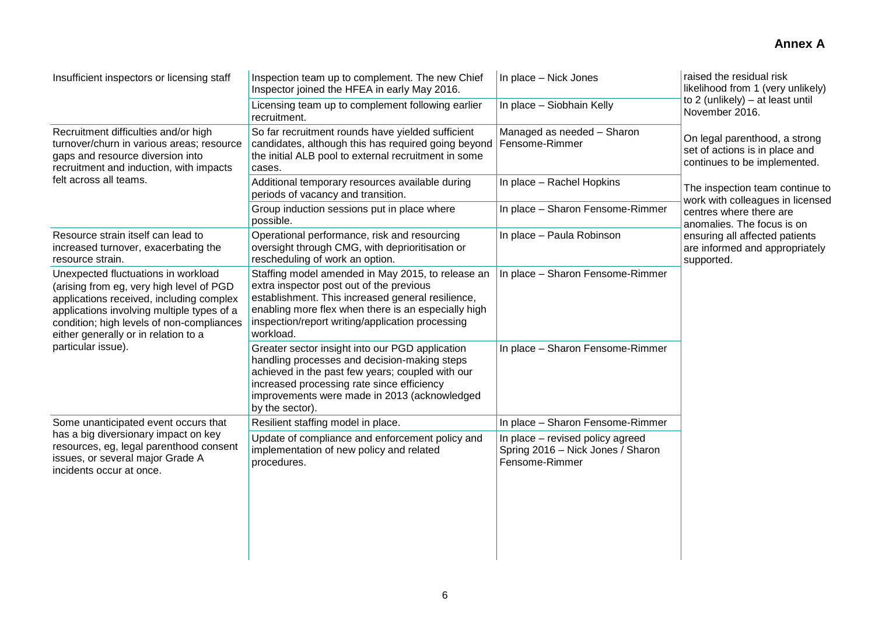| Insufficient inspectors or licensing staff                                                                                                                                                                                                                     | Inspection team up to complement. The new Chief<br>Inspector joined the HFEA in early May 2016.                                                                                                                                                                            | In place - Nick Jones                                                                   | raised the residual risk<br>likelihood from 1 (very unlikely)                                   |
|----------------------------------------------------------------------------------------------------------------------------------------------------------------------------------------------------------------------------------------------------------------|----------------------------------------------------------------------------------------------------------------------------------------------------------------------------------------------------------------------------------------------------------------------------|-----------------------------------------------------------------------------------------|-------------------------------------------------------------------------------------------------|
|                                                                                                                                                                                                                                                                | Licensing team up to complement following earlier<br>recruitment.                                                                                                                                                                                                          | In place - Siobhain Kelly                                                               | to 2 (unlikely) - at least until<br>November 2016.                                              |
| Recruitment difficulties and/or high<br>turnover/churn in various areas; resource<br>gaps and resource diversion into<br>recruitment and induction, with impacts                                                                                               | So far recruitment rounds have yielded sufficient<br>candidates, although this has required going beyond<br>the initial ALB pool to external recruitment in some<br>cases.                                                                                                 | Managed as needed - Sharon<br>Fensome-Rimmer                                            | On legal parenthood, a strong<br>set of actions is in place and<br>continues to be implemented. |
| felt across all teams.                                                                                                                                                                                                                                         | Additional temporary resources available during<br>periods of vacancy and transition.                                                                                                                                                                                      | In place - Rachel Hopkins                                                               | The inspection team continue to<br>work with colleagues in licensed                             |
|                                                                                                                                                                                                                                                                | Group induction sessions put in place where<br>possible.                                                                                                                                                                                                                   | In place - Sharon Fensome-Rimmer                                                        | centres where there are<br>anomalies. The focus is on                                           |
| Resource strain itself can lead to<br>increased turnover, exacerbating the<br>resource strain.                                                                                                                                                                 | Operational performance, risk and resourcing<br>oversight through CMG, with deprioritisation or<br>rescheduling of work an option.                                                                                                                                         | In place - Paula Robinson                                                               | ensuring all affected patients<br>are informed and appropriately<br>supported.                  |
| Unexpected fluctuations in workload<br>(arising from eg, very high level of PGD<br>applications received, including complex<br>applications involving multiple types of a<br>condition; high levels of non-compliances<br>either generally or in relation to a | Staffing model amended in May 2015, to release an<br>extra inspector post out of the previous<br>establishment. This increased general resilience,<br>enabling more flex when there is an especially high<br>inspection/report writing/application processing<br>workload. | In place - Sharon Fensome-Rimmer                                                        |                                                                                                 |
| particular issue).                                                                                                                                                                                                                                             | Greater sector insight into our PGD application<br>handling processes and decision-making steps<br>achieved in the past few years; coupled with our<br>increased processing rate since efficiency<br>improvements were made in 2013 (acknowledged<br>by the sector).       | In place - Sharon Fensome-Rimmer                                                        |                                                                                                 |
| Some unanticipated event occurs that                                                                                                                                                                                                                           | Resilient staffing model in place.                                                                                                                                                                                                                                         | In place - Sharon Fensome-Rimmer                                                        |                                                                                                 |
| has a big diversionary impact on key<br>resources, eg, legal parenthood consent<br>issues, or several major Grade A<br>incidents occur at once.                                                                                                                | Update of compliance and enforcement policy and<br>implementation of new policy and related<br>procedures.                                                                                                                                                                 | In place - revised policy agreed<br>Spring 2016 - Nick Jones / Sharon<br>Fensome-Rimmer |                                                                                                 |
|                                                                                                                                                                                                                                                                |                                                                                                                                                                                                                                                                            |                                                                                         |                                                                                                 |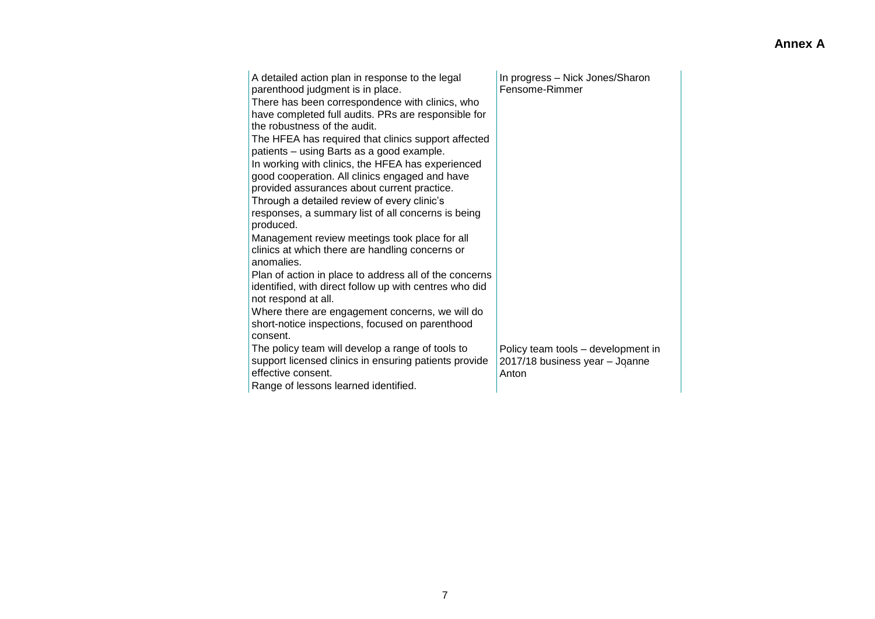| A detailed action plan in response to the legal<br>parenthood judgment is in place.<br>There has been correspondence with clinics, who<br>have completed full audits. PRs are responsible for<br>the robustness of the audit.<br>The HFEA has required that clinics support affected<br>patients - using Barts as a good example.<br>In working with clinics, the HFEA has experienced<br>good cooperation. All clinics engaged and have<br>provided assurances about current practice.<br>Through a detailed review of every clinic's<br>responses, a summary list of all concerns is being<br>produced.<br>Management review meetings took place for all<br>clinics at which there are handling concerns or<br>anomalies.<br>Plan of action in place to address all of the concerns<br>identified, with direct follow up with centres who did<br>not respond at all.<br>Where there are engagement concerns, we will do<br>short-notice inspections, focused on parenthood<br>consent. | In progress - Nick Jones/Sharon<br>Fensome-Rimmer                             |
|------------------------------------------------------------------------------------------------------------------------------------------------------------------------------------------------------------------------------------------------------------------------------------------------------------------------------------------------------------------------------------------------------------------------------------------------------------------------------------------------------------------------------------------------------------------------------------------------------------------------------------------------------------------------------------------------------------------------------------------------------------------------------------------------------------------------------------------------------------------------------------------------------------------------------------------------------------------------------------------|-------------------------------------------------------------------------------|
| The policy team will develop a range of tools to<br>support licensed clinics in ensuring patients provide<br>effective consent.<br>Range of lessons learned identified.                                                                                                                                                                                                                                                                                                                                                                                                                                                                                                                                                                                                                                                                                                                                                                                                                  | Policy team tools - development in<br>2017/18 business year - Joanne<br>Anton |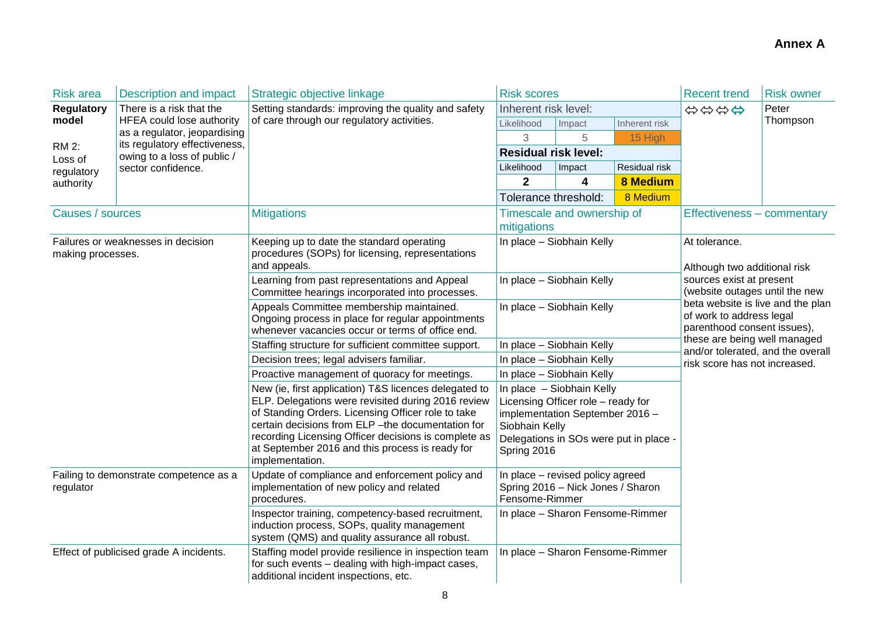| <b>Risk area</b>                                                                                                                                                                                                                                                      | <b>Description and impact</b>                                 | Strategic objective linkage                                                                                                                                                                                                                                                                                                                           | <b>Risk scores</b>                                                                                                                                                            |                            |                                                                                              | <b>Recent trend</b>                                                                                | <b>Risk owner</b> |
|-----------------------------------------------------------------------------------------------------------------------------------------------------------------------------------------------------------------------------------------------------------------------|---------------------------------------------------------------|-------------------------------------------------------------------------------------------------------------------------------------------------------------------------------------------------------------------------------------------------------------------------------------------------------------------------------------------------------|-------------------------------------------------------------------------------------------------------------------------------------------------------------------------------|----------------------------|----------------------------------------------------------------------------------------------|----------------------------------------------------------------------------------------------------|-------------------|
| <b>Regulatory</b>                                                                                                                                                                                                                                                     | There is a risk that the                                      | Setting standards: improving the quality and safety<br>of care through our regulatory activities.                                                                                                                                                                                                                                                     | Inherent risk level:                                                                                                                                                          |                            |                                                                                              | \$\$\$\$                                                                                           | Peter             |
| model                                                                                                                                                                                                                                                                 | <b>HFEA could lose authority</b>                              |                                                                                                                                                                                                                                                                                                                                                       | Likelihood                                                                                                                                                                    | Impact                     | Inherent risk                                                                                |                                                                                                    | Thompson          |
| <b>RM 2:</b>                                                                                                                                                                                                                                                          | as a regulator, jeopardising<br>its regulatory effectiveness, |                                                                                                                                                                                                                                                                                                                                                       | 3                                                                                                                                                                             | 5                          | 15 High                                                                                      |                                                                                                    |                   |
| Loss of                                                                                                                                                                                                                                                               | owing to a loss of public /                                   |                                                                                                                                                                                                                                                                                                                                                       | <b>Residual risk level:</b>                                                                                                                                                   |                            |                                                                                              |                                                                                                    |                   |
| regulatory                                                                                                                                                                                                                                                            | sector confidence.                                            |                                                                                                                                                                                                                                                                                                                                                       | Likelihood                                                                                                                                                                    | Impact                     | Residual risk                                                                                |                                                                                                    |                   |
| authority                                                                                                                                                                                                                                                             |                                                               |                                                                                                                                                                                                                                                                                                                                                       | $\overline{2}$                                                                                                                                                                | 4                          | <b>8 Medium</b>                                                                              |                                                                                                    |                   |
|                                                                                                                                                                                                                                                                       |                                                               |                                                                                                                                                                                                                                                                                                                                                       | Tolerance threshold:                                                                                                                                                          |                            | 8 Medium                                                                                     |                                                                                                    |                   |
| Causes / sources                                                                                                                                                                                                                                                      |                                                               | <b>Mitigations</b>                                                                                                                                                                                                                                                                                                                                    | mitigations                                                                                                                                                                   | Timescale and ownership of |                                                                                              | Effectiveness – commentary                                                                         |                   |
| making processes.                                                                                                                                                                                                                                                     | Failures or weaknesses in decision                            | Keeping up to date the standard operating<br>procedures (SOPs) for licensing, representations<br>and appeals.                                                                                                                                                                                                                                         | In place - Siobhain Kelly<br>In place - Siobhain Kelly                                                                                                                        |                            | At tolerance.<br>Although two additional risk                                                |                                                                                                    |                   |
|                                                                                                                                                                                                                                                                       |                                                               | Learning from past representations and Appeal<br>Committee hearings incorporated into processes.                                                                                                                                                                                                                                                      |                                                                                                                                                                               |                            |                                                                                              | sources exist at present<br>(website outages until the new                                         |                   |
|                                                                                                                                                                                                                                                                       |                                                               | Appeals Committee membership maintained.<br>In place - Siobhain Kelly<br>Ongoing process in place for regular appointments<br>whenever vacancies occur or terms of office end.                                                                                                                                                                        |                                                                                                                                                                               |                            | beta website is live and the plan<br>of work to address legal<br>parenthood consent issues), |                                                                                                    |                   |
|                                                                                                                                                                                                                                                                       |                                                               | Staffing structure for sufficient committee support.                                                                                                                                                                                                                                                                                                  |                                                                                                                                                                               | In place - Siobhain Kelly  |                                                                                              | these are being well managed<br>and/or tolerated, and the overall<br>risk score has not increased. |                   |
|                                                                                                                                                                                                                                                                       |                                                               | Decision trees; legal advisers familiar.                                                                                                                                                                                                                                                                                                              |                                                                                                                                                                               | In place - Siobhain Kelly  |                                                                                              |                                                                                                    |                   |
|                                                                                                                                                                                                                                                                       |                                                               | Proactive management of quoracy for meetings.                                                                                                                                                                                                                                                                                                         |                                                                                                                                                                               | In place - Siobhain Kelly  |                                                                                              |                                                                                                    |                   |
|                                                                                                                                                                                                                                                                       |                                                               | New (ie, first application) T&S licences delegated to<br>ELP. Delegations were revisited during 2016 review<br>of Standing Orders. Licensing Officer role to take<br>certain decisions from ELP - the documentation for<br>recording Licensing Officer decisions is complete as<br>at September 2016 and this process is ready for<br>implementation. | In place - Siobhain Kelly<br>Licensing Officer role - ready for<br>implementation September 2016 -<br>Siobhain Kelly<br>Delegations in SOs were put in place -<br>Spring 2016 |                            |                                                                                              |                                                                                                    |                   |
| Update of compliance and enforcement policy and<br>Failing to demonstrate competence as a<br>implementation of new policy and related<br>regulator<br>procedures.<br>Inspector training, competency-based recruitment,<br>induction process, SOPs, quality management |                                                               |                                                                                                                                                                                                                                                                                                                                                       | In place - revised policy agreed<br>Spring 2016 - Nick Jones / Sharon<br>Fensome-Rimmer                                                                                       |                            |                                                                                              |                                                                                                    |                   |
|                                                                                                                                                                                                                                                                       |                                                               | system (QMS) and quality assurance all robust.                                                                                                                                                                                                                                                                                                        | In place - Sharon Fensome-Rimmer                                                                                                                                              |                            |                                                                                              |                                                                                                    |                   |
|                                                                                                                                                                                                                                                                       | Effect of publicised grade A incidents.                       | Staffing model provide resilience in inspection team<br>for such events - dealing with high-impact cases,<br>additional incident inspections, etc.                                                                                                                                                                                                    | In place - Sharon Fensome-Rimmer                                                                                                                                              |                            |                                                                                              |                                                                                                    |                   |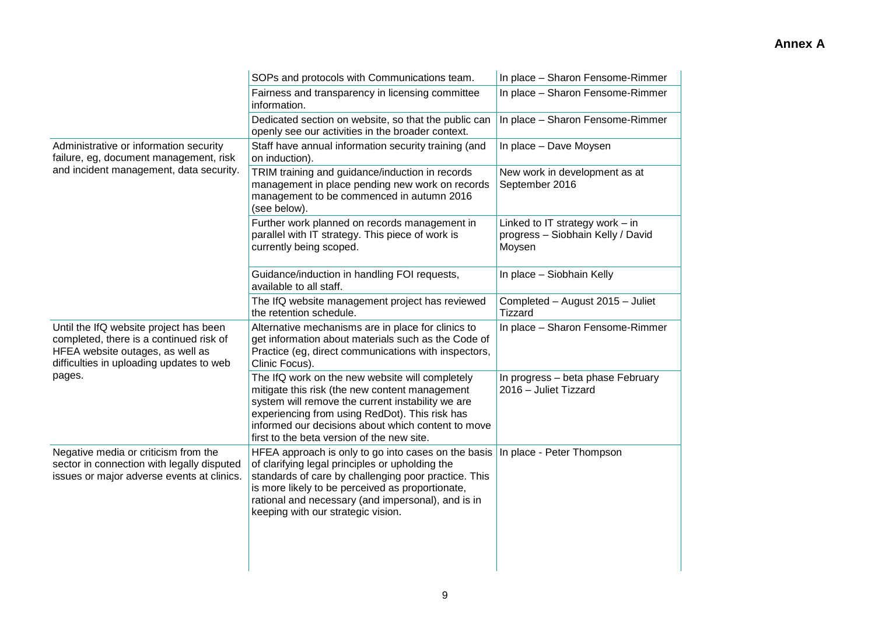|                                                                                                                                                                   | SOPs and protocols with Communications team.                                                                                                                                                                                                                                                                   | In place - Sharon Fensome-Rimmer                                                 |
|-------------------------------------------------------------------------------------------------------------------------------------------------------------------|----------------------------------------------------------------------------------------------------------------------------------------------------------------------------------------------------------------------------------------------------------------------------------------------------------------|----------------------------------------------------------------------------------|
|                                                                                                                                                                   | Fairness and transparency in licensing committee<br>information.                                                                                                                                                                                                                                               | In place - Sharon Fensome-Rimmer                                                 |
|                                                                                                                                                                   | Dedicated section on website, so that the public can<br>openly see our activities in the broader context.                                                                                                                                                                                                      | In place - Sharon Fensome-Rimmer                                                 |
| Administrative or information security<br>failure, eg, document management, risk                                                                                  | Staff have annual information security training (and<br>on induction).                                                                                                                                                                                                                                         | In place - Dave Moysen                                                           |
| and incident management, data security.                                                                                                                           | TRIM training and guidance/induction in records<br>management in place pending new work on records<br>management to be commenced in autumn 2016<br>(see below).                                                                                                                                                | New work in development as at<br>September 2016                                  |
|                                                                                                                                                                   | Further work planned on records management in<br>parallel with IT strategy. This piece of work is<br>currently being scoped.                                                                                                                                                                                   | Linked to IT strategy work $-$ in<br>progress - Siobhain Kelly / David<br>Moysen |
|                                                                                                                                                                   | Guidance/induction in handling FOI requests,<br>available to all staff.                                                                                                                                                                                                                                        | In place - Siobhain Kelly                                                        |
|                                                                                                                                                                   | The IfQ website management project has reviewed<br>the retention schedule.                                                                                                                                                                                                                                     | Completed - August 2015 - Juliet<br>Tizzard                                      |
| Until the IfQ website project has been<br>completed, there is a continued risk of<br>HFEA website outages, as well as<br>difficulties in uploading updates to web | Alternative mechanisms are in place for clinics to<br>get information about materials such as the Code of<br>Practice (eg, direct communications with inspectors,<br>Clinic Focus).                                                                                                                            | In place - Sharon Fensome-Rimmer                                                 |
| pages.                                                                                                                                                            | The IfQ work on the new website will completely<br>mitigate this risk (the new content management<br>system will remove the current instability we are<br>experiencing from using RedDot). This risk has<br>informed our decisions about which content to move<br>first to the beta version of the new site.   | In progress - beta phase February<br>2016 - Juliet Tizzard                       |
| Negative media or criticism from the<br>sector in connection with legally disputed<br>issues or major adverse events at clinics.                                  | HFEA approach is only to go into cases on the basis<br>of clarifying legal principles or upholding the<br>standards of care by challenging poor practice. This<br>is more likely to be perceived as proportionate,<br>rational and necessary (and impersonal), and is in<br>keeping with our strategic vision. | In place - Peter Thompson                                                        |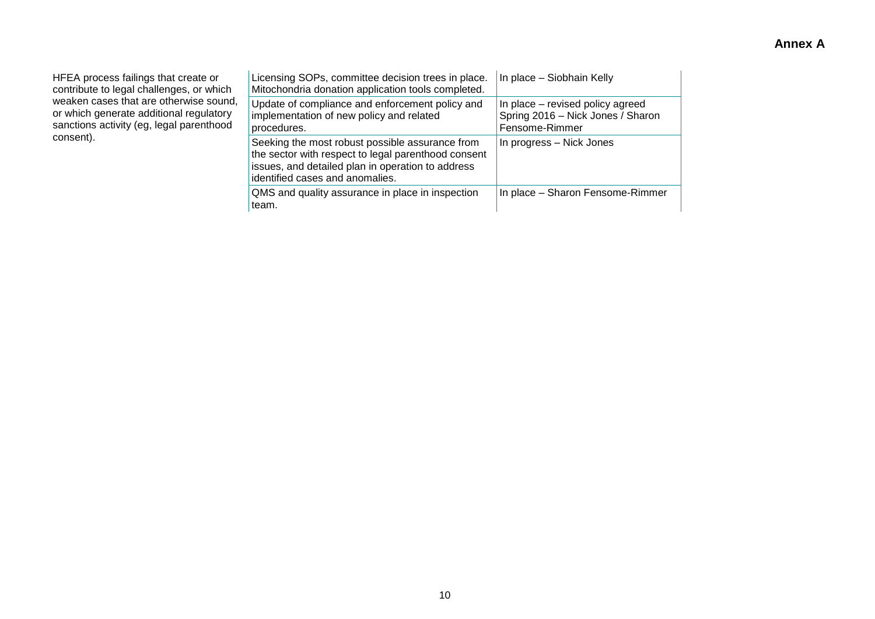HFEA process failings that create or contribute to legal challenges, or which weaken cases that are otherwise sound, or which generate additional regulatory sanctions activity (eg, legal parenthood consent).

| Licensing SOPs, committee decision trees in place.<br>Mitochondria donation application tools completed.                                                                                       | In place - Siobhain Kelly                                                               |
|------------------------------------------------------------------------------------------------------------------------------------------------------------------------------------------------|-----------------------------------------------------------------------------------------|
| Update of compliance and enforcement policy and<br>implementation of new policy and related<br>procedures.                                                                                     | In place – revised policy agreed<br>Spring 2016 - Nick Jones / Sharon<br>Fensome-Rimmer |
| Seeking the most robust possible assurance from<br>the sector with respect to legal parenthood consent<br>issues, and detailed plan in operation to address<br>identified cases and anomalies. | In progress - Nick Jones                                                                |
| QMS and quality assurance in place in inspection<br>team.                                                                                                                                      | In place - Sharon Fensome-Rimmer                                                        |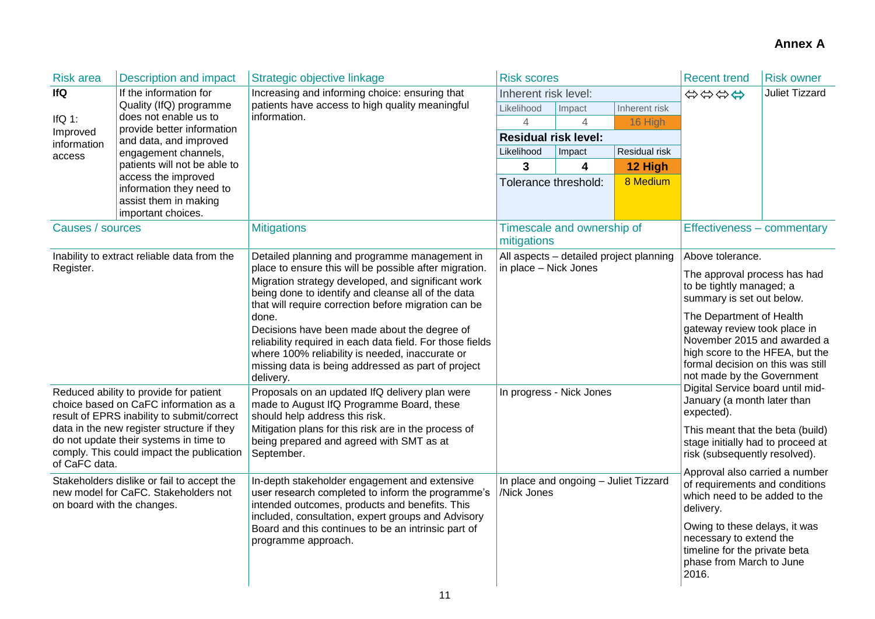| <b>Risk area</b>                                                                                                                                                                                                                                                                                                                                                                                                     | <b>Description and impact</b>                                           | Strategic objective linkage                                                                                                                                                                                                                                                              | <b>Risk scores</b>                                   |                            |                                         | <b>Recent trend</b>                                                                                                                                                                                                                                                                                                                                                                                                                                                               | <b>Risk owner</b>     |
|----------------------------------------------------------------------------------------------------------------------------------------------------------------------------------------------------------------------------------------------------------------------------------------------------------------------------------------------------------------------------------------------------------------------|-------------------------------------------------------------------------|------------------------------------------------------------------------------------------------------------------------------------------------------------------------------------------------------------------------------------------------------------------------------------------|------------------------------------------------------|----------------------------|-----------------------------------------|-----------------------------------------------------------------------------------------------------------------------------------------------------------------------------------------------------------------------------------------------------------------------------------------------------------------------------------------------------------------------------------------------------------------------------------------------------------------------------------|-----------------------|
| <b>IfQ</b>                                                                                                                                                                                                                                                                                                                                                                                                           | If the information for                                                  | Increasing and informing choice: ensuring that                                                                                                                                                                                                                                           | Inherent risk level:                                 |                            |                                         | \$\$\$\$                                                                                                                                                                                                                                                                                                                                                                                                                                                                          | <b>Juliet Tizzard</b> |
|                                                                                                                                                                                                                                                                                                                                                                                                                      | Quality (IfQ) programme<br>does not enable us to                        | patients have access to high quality meaningful<br>information.                                                                                                                                                                                                                          | Likelihood                                           | Impact                     | Inherent risk                           |                                                                                                                                                                                                                                                                                                                                                                                                                                                                                   |                       |
| IfQ $1$ :<br>Improved                                                                                                                                                                                                                                                                                                                                                                                                | provide better information                                              |                                                                                                                                                                                                                                                                                          | $\overline{4}$                                       | $\overline{4}$             | 16 High                                 |                                                                                                                                                                                                                                                                                                                                                                                                                                                                                   |                       |
| information                                                                                                                                                                                                                                                                                                                                                                                                          | and data, and improved                                                  |                                                                                                                                                                                                                                                                                          | <b>Residual risk level:</b>                          |                            |                                         |                                                                                                                                                                                                                                                                                                                                                                                                                                                                                   |                       |
| access                                                                                                                                                                                                                                                                                                                                                                                                               | engagement channels,                                                    |                                                                                                                                                                                                                                                                                          | Likelihood                                           | Impact                     | Residual risk                           |                                                                                                                                                                                                                                                                                                                                                                                                                                                                                   |                       |
|                                                                                                                                                                                                                                                                                                                                                                                                                      | patients will not be able to<br>access the improved                     |                                                                                                                                                                                                                                                                                          | 3                                                    | 4                          | 12 High                                 |                                                                                                                                                                                                                                                                                                                                                                                                                                                                                   |                       |
|                                                                                                                                                                                                                                                                                                                                                                                                                      | information they need to<br>assist them in making<br>important choices. |                                                                                                                                                                                                                                                                                          | Tolerance threshold:                                 |                            | 8 Medium                                |                                                                                                                                                                                                                                                                                                                                                                                                                                                                                   |                       |
| Causes / sources                                                                                                                                                                                                                                                                                                                                                                                                     |                                                                         | <b>Mitigations</b>                                                                                                                                                                                                                                                                       | mitigations                                          | Timescale and ownership of |                                         | Effectiveness - commentary                                                                                                                                                                                                                                                                                                                                                                                                                                                        |                       |
|                                                                                                                                                                                                                                                                                                                                                                                                                      | Inability to extract reliable data from the                             | Detailed planning and programme management in                                                                                                                                                                                                                                            |                                                      |                            | All aspects - detailed project planning | Above tolerance.                                                                                                                                                                                                                                                                                                                                                                                                                                                                  |                       |
| Register.<br>Reduced ability to provide for patient<br>choice based on CaFC information as a<br>result of EPRS inability to submit/correct<br>data in the new register structure if they<br>do not update their systems in time to<br>comply. This could impact the publication<br>of CaFC data.<br>Stakeholders dislike or fail to accept the<br>new model for CaFC. Stakeholders not<br>on board with the changes. |                                                                         | place to ensure this will be possible after migration.<br>Migration strategy developed, and significant work<br>being done to identify and cleanse all of the data<br>that will require correction before migration can be                                                               | in place - Nick Jones                                |                            |                                         | The approval process has had<br>to be tightly managed; a<br>summary is set out below.<br>The Department of Health<br>gateway review took place in<br>November 2015 and awarded a<br>high score to the HFEA, but the<br>formal decision on this was still<br>not made by the Government<br>Digital Service board until mid-<br>January (a month later than<br>expected).<br>This meant that the beta (build)<br>stage initially had to proceed at<br>risk (subsequently resolved). |                       |
|                                                                                                                                                                                                                                                                                                                                                                                                                      |                                                                         | done.<br>Decisions have been made about the degree of<br>reliability required in each data field. For those fields<br>where 100% reliability is needed, inaccurate or<br>missing data is being addressed as part of project<br>delivery.                                                 |                                                      |                            |                                         |                                                                                                                                                                                                                                                                                                                                                                                                                                                                                   |                       |
|                                                                                                                                                                                                                                                                                                                                                                                                                      |                                                                         | Proposals on an updated IfQ delivery plan were<br>made to August IfQ Programme Board, these<br>should help address this risk.                                                                                                                                                            | In progress - Nick Jones                             |                            |                                         |                                                                                                                                                                                                                                                                                                                                                                                                                                                                                   |                       |
|                                                                                                                                                                                                                                                                                                                                                                                                                      |                                                                         | Mitigation plans for this risk are in the process of<br>being prepared and agreed with SMT as at<br>September.                                                                                                                                                                           |                                                      |                            |                                         |                                                                                                                                                                                                                                                                                                                                                                                                                                                                                   |                       |
|                                                                                                                                                                                                                                                                                                                                                                                                                      |                                                                         | In-depth stakeholder engagement and extensive<br>user research completed to inform the programme's<br>intended outcomes, products and benefits. This<br>included, consultation, expert groups and Advisory<br>Board and this continues to be an intrinsic part of<br>programme approach. | In place and ongoing - Juliet Tizzard<br>/Nick Jones |                            |                                         | Approval also carried a number<br>of requirements and conditions<br>which need to be added to the<br>delivery.<br>Owing to these delays, it was<br>necessary to extend the<br>timeline for the private beta<br>phase from March to June<br>2016.                                                                                                                                                                                                                                  |                       |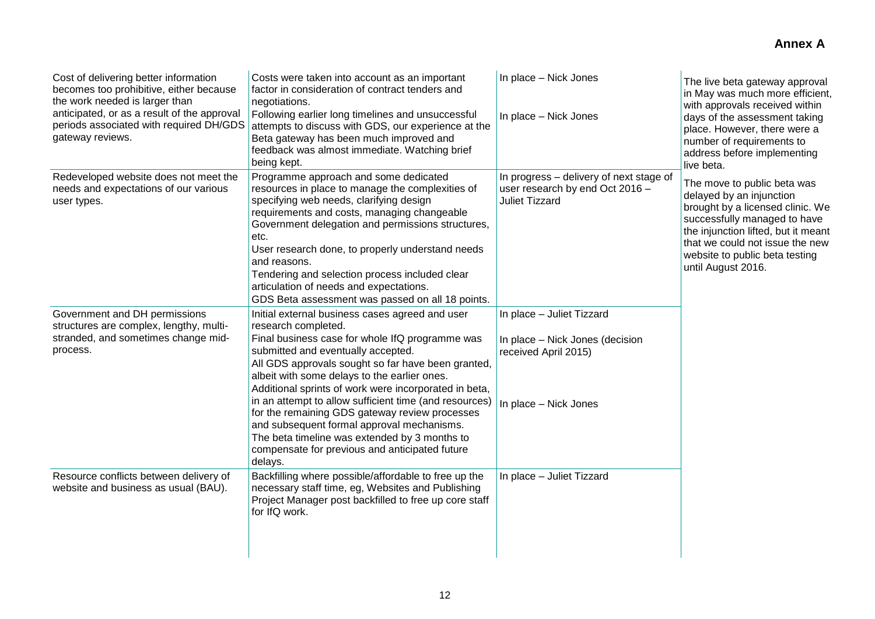| Cost of delivering better information<br>becomes too prohibitive, either because<br>the work needed is larger than<br>anticipated, or as a result of the approval<br>periods associated with required DH/GDS<br>gateway reviews. | Costs were taken into account as an important<br>factor in consideration of contract tenders and<br>negotiations.<br>Following earlier long timelines and unsuccessful<br>attempts to discuss with GDS, our experience at the<br>Beta gateway has been much improved and<br>feedback was almost immediate. Watching brief<br>being kept.                                                                                                                                                                                                                                                               | In place - Nick Jones<br>In place - Nick Jones                                                                | The live beta gateway approval<br>in May was much more efficient,<br>with approvals received within<br>days of the assessment taking<br>place. However, there were a<br>number of requirements to<br>address before implementing<br>live beta.                |
|----------------------------------------------------------------------------------------------------------------------------------------------------------------------------------------------------------------------------------|--------------------------------------------------------------------------------------------------------------------------------------------------------------------------------------------------------------------------------------------------------------------------------------------------------------------------------------------------------------------------------------------------------------------------------------------------------------------------------------------------------------------------------------------------------------------------------------------------------|---------------------------------------------------------------------------------------------------------------|---------------------------------------------------------------------------------------------------------------------------------------------------------------------------------------------------------------------------------------------------------------|
| Redeveloped website does not meet the<br>needs and expectations of our various<br>user types.                                                                                                                                    | Programme approach and some dedicated<br>resources in place to manage the complexities of<br>specifying web needs, clarifying design<br>requirements and costs, managing changeable<br>Government delegation and permissions structures,<br>etc.<br>User research done, to properly understand needs<br>and reasons.<br>Tendering and selection process included clear<br>articulation of needs and expectations.<br>GDS Beta assessment was passed on all 18 points.                                                                                                                                  | In progress - delivery of next stage of<br>user research by end Oct 2016 -<br><b>Juliet Tizzard</b>           | The move to public beta was<br>delayed by an injunction<br>brought by a licensed clinic. We<br>successfully managed to have<br>the injunction lifted, but it meant<br>that we could not issue the new<br>website to public beta testing<br>until August 2016. |
| Government and DH permissions<br>structures are complex, lengthy, multi-<br>stranded, and sometimes change mid-<br>process.                                                                                                      | Initial external business cases agreed and user<br>research completed.<br>Final business case for whole IfQ programme was<br>submitted and eventually accepted.<br>All GDS approvals sought so far have been granted,<br>albeit with some delays to the earlier ones.<br>Additional sprints of work were incorporated in beta,<br>in an attempt to allow sufficient time (and resources)<br>for the remaining GDS gateway review processes<br>and subsequent formal approval mechanisms.<br>The beta timeline was extended by 3 months to<br>compensate for previous and anticipated future<br>delays. | In place - Juliet Tizzard<br>In place - Nick Jones (decision<br>received April 2015)<br>In place - Nick Jones |                                                                                                                                                                                                                                                               |
| Resource conflicts between delivery of<br>website and business as usual (BAU).                                                                                                                                                   | Backfilling where possible/affordable to free up the<br>necessary staff time, eg, Websites and Publishing<br>Project Manager post backfilled to free up core staff<br>for IfQ work.                                                                                                                                                                                                                                                                                                                                                                                                                    | In place - Juliet Tizzard                                                                                     |                                                                                                                                                                                                                                                               |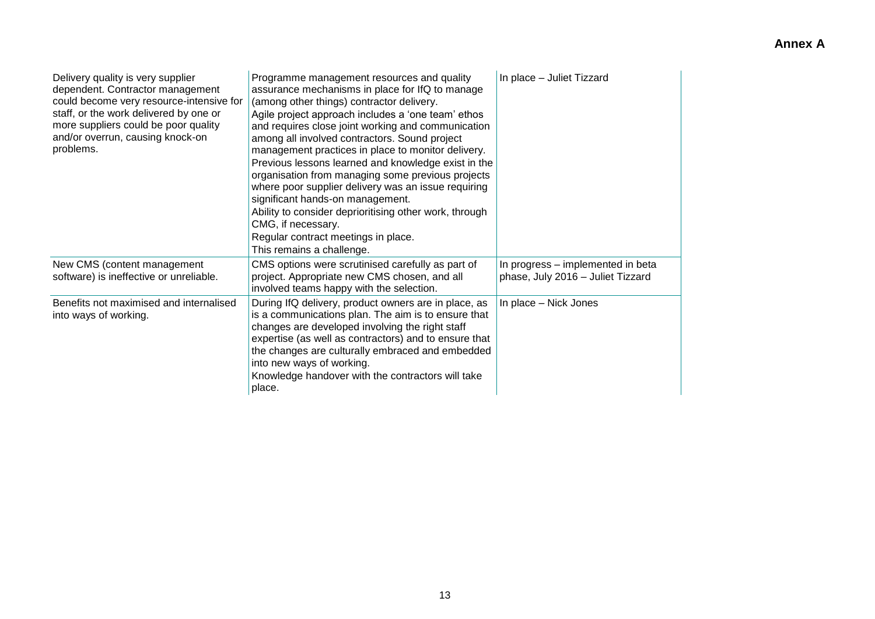| Delivery quality is very supplier<br>dependent. Contractor management<br>could become very resource-intensive for<br>staff, or the work delivered by one or<br>more suppliers could be poor quality<br>and/or overrun, causing knock-on<br>problems. | Programme management resources and quality<br>assurance mechanisms in place for IfQ to manage<br>(among other things) contractor delivery.<br>Agile project approach includes a 'one team' ethos<br>and requires close joint working and communication<br>among all involved contractors. Sound project<br>management practices in place to monitor delivery.<br>Previous lessons learned and knowledge exist in the<br>organisation from managing some previous projects<br>where poor supplier delivery was an issue requiring<br>significant hands-on management.<br>Ability to consider deprioritising other work, through<br>CMG, if necessary.<br>Regular contract meetings in place.<br>This remains a challenge. | In place - Juliet Tizzard                                              |
|------------------------------------------------------------------------------------------------------------------------------------------------------------------------------------------------------------------------------------------------------|--------------------------------------------------------------------------------------------------------------------------------------------------------------------------------------------------------------------------------------------------------------------------------------------------------------------------------------------------------------------------------------------------------------------------------------------------------------------------------------------------------------------------------------------------------------------------------------------------------------------------------------------------------------------------------------------------------------------------|------------------------------------------------------------------------|
| New CMS (content management<br>software) is ineffective or unreliable.                                                                                                                                                                               | CMS options were scrutinised carefully as part of<br>project. Appropriate new CMS chosen, and all<br>involved teams happy with the selection.                                                                                                                                                                                                                                                                                                                                                                                                                                                                                                                                                                            | In progress – implemented in beta<br>phase, July 2016 - Juliet Tizzard |
| Benefits not maximised and internalised<br>into ways of working.                                                                                                                                                                                     | During IfQ delivery, product owners are in place, as<br>is a communications plan. The aim is to ensure that<br>changes are developed involving the right staff<br>expertise (as well as contractors) and to ensure that<br>the changes are culturally embraced and embedded<br>into new ways of working.<br>Knowledge handover with the contractors will take<br>place.                                                                                                                                                                                                                                                                                                                                                  | In place - Nick Jones                                                  |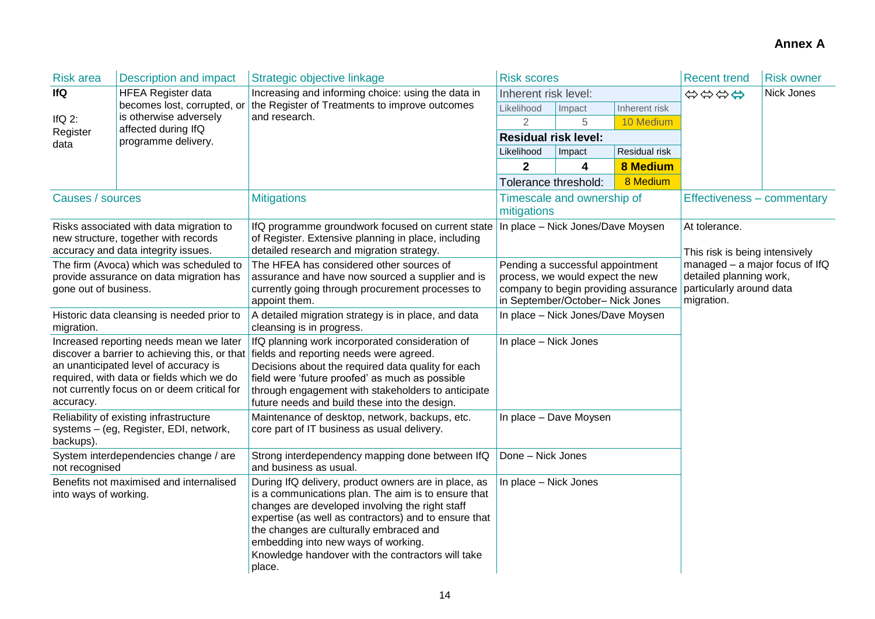| <b>Risk area</b>      | <b>Description and impact</b>                                                      | Strategic objective linkage                                                                              | <b>Risk scores</b>                                                       |                                   |                 | <b>Recent trend</b>                                       | <b>Risk owner</b> |  |
|-----------------------|------------------------------------------------------------------------------------|----------------------------------------------------------------------------------------------------------|--------------------------------------------------------------------------|-----------------------------------|-----------------|-----------------------------------------------------------|-------------------|--|
| <b>IfQ</b>            | <b>HFEA Register data</b>                                                          | Increasing and informing choice: using the data in                                                       | Inherent risk level:                                                     |                                   |                 | \$\$\$\$                                                  | Nick Jones        |  |
|                       | becomes lost, corrupted, or<br>is otherwise adversely                              | the Register of Treatments to improve outcomes<br>and research.                                          | Likelihood                                                               | Impact                            | Inherent risk   |                                                           |                   |  |
| If $Q$ 2:             | affected during IfQ                                                                |                                                                                                          | $\overline{2}$                                                           | 5                                 | 10 Medium       |                                                           |                   |  |
| Register<br>data      | programme delivery.                                                                |                                                                                                          | <b>Residual risk level:</b>                                              |                                   |                 |                                                           |                   |  |
|                       |                                                                                    |                                                                                                          | Likelihood                                                               | Impact                            | Residual risk   |                                                           |                   |  |
|                       |                                                                                    |                                                                                                          | $\mathbf{2}$                                                             | 4                                 | <b>8 Medium</b> |                                                           |                   |  |
|                       |                                                                                    |                                                                                                          | Tolerance threshold:                                                     |                                   | 8 Medium        |                                                           |                   |  |
| Causes / sources      |                                                                                    | <b>Mitigations</b>                                                                                       | mitigations                                                              | Timescale and ownership of        |                 | Effectiveness - commentary                                |                   |  |
|                       | Risks associated with data migration to                                            | IfQ programme groundwork focused on current state                                                        |                                                                          | In place - Nick Jones/Dave Moysen |                 | At tolerance.                                             |                   |  |
|                       | new structure, together with records                                               | of Register. Extensive planning in place, including                                                      |                                                                          |                                   |                 |                                                           |                   |  |
|                       | accuracy and data integrity issues.                                                | detailed research and migration strategy.                                                                |                                                                          |                                   |                 | This risk is being intensively                            |                   |  |
|                       | The firm (Avoca) which was scheduled to<br>provide assurance on data migration has | The HFEA has considered other sources of<br>assurance and have now sourced a supplier and is             |                                                                          | Pending a successful appointment  |                 | managed - a major focus of IfQ<br>detailed planning work, |                   |  |
| gone out of business. |                                                                                    | currently going through procurement processes to                                                         | process, we would expect the new<br>company to begin providing assurance |                                   |                 | particularly around data                                  |                   |  |
|                       |                                                                                    | appoint them.                                                                                            | in September/October- Nick Jones                                         |                                   | migration.      |                                                           |                   |  |
|                       | Historic data cleansing is needed prior to                                         | A detailed migration strategy is in place, and data                                                      | In place - Nick Jones/Dave Moysen                                        |                                   |                 |                                                           |                   |  |
| migration.            |                                                                                    | cleansing is in progress.                                                                                |                                                                          |                                   |                 |                                                           |                   |  |
|                       | Increased reporting needs mean we later                                            | IfQ planning work incorporated consideration of                                                          | In place - Nick Jones                                                    |                                   |                 |                                                           |                   |  |
|                       | an unanticipated level of accuracy is                                              | discover a barrier to achieving this, or that fields and reporting needs were agreed.                    |                                                                          |                                   |                 |                                                           |                   |  |
|                       | required, with data or fields which we do                                          | Decisions about the required data quality for each<br>field were 'future proofed' as much as possible    |                                                                          |                                   |                 |                                                           |                   |  |
|                       | not currently focus on or deem critical for                                        | through engagement with stakeholders to anticipate                                                       |                                                                          |                                   |                 |                                                           |                   |  |
| accuracy.             |                                                                                    | future needs and build these into the design.                                                            |                                                                          |                                   |                 |                                                           |                   |  |
|                       | Reliability of existing infrastructure                                             | Maintenance of desktop, network, backups, etc.                                                           |                                                                          | In place - Dave Moysen            |                 |                                                           |                   |  |
|                       | systems - (eg, Register, EDI, network,                                             | core part of IT business as usual delivery.                                                              |                                                                          |                                   |                 |                                                           |                   |  |
| backups).             | System interdependencies change / are                                              | Strong interdependency mapping done between IfQ                                                          | Done - Nick Jones                                                        |                                   |                 |                                                           |                   |  |
| not recognised        |                                                                                    | and business as usual.                                                                                   |                                                                          |                                   |                 |                                                           |                   |  |
|                       | Benefits not maximised and internalised                                            | During IfQ delivery, product owners are in place, as                                                     | In place - Nick Jones                                                    |                                   |                 |                                                           |                   |  |
| into ways of working. |                                                                                    | is a communications plan. The aim is to ensure that                                                      |                                                                          |                                   |                 |                                                           |                   |  |
|                       |                                                                                    | changes are developed involving the right staff<br>expertise (as well as contractors) and to ensure that |                                                                          |                                   |                 |                                                           |                   |  |
|                       |                                                                                    | the changes are culturally embraced and                                                                  |                                                                          |                                   |                 |                                                           |                   |  |
|                       |                                                                                    | embedding into new ways of working.                                                                      |                                                                          |                                   |                 |                                                           |                   |  |
|                       |                                                                                    | Knowledge handover with the contractors will take                                                        |                                                                          |                                   |                 |                                                           |                   |  |
|                       |                                                                                    | place.                                                                                                   |                                                                          |                                   |                 |                                                           |                   |  |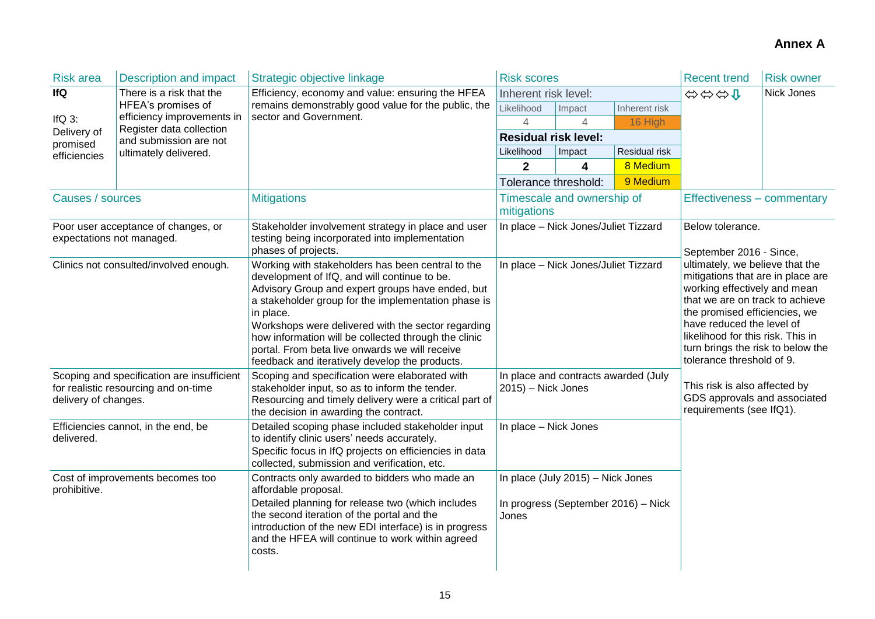| <b>Risk area</b>                                                                                           | <b>Description and impact</b>                                    | Strategic objective linkage                                                                                                                                                                                                                                                                                                                                                                                                                 | <b>Risk scores</b>                                                                |                            |                                                                                                                                                                                                                                                                                                                                                                                                           | <b>Recent trend</b>                         | <b>Risk owner</b> |
|------------------------------------------------------------------------------------------------------------|------------------------------------------------------------------|---------------------------------------------------------------------------------------------------------------------------------------------------------------------------------------------------------------------------------------------------------------------------------------------------------------------------------------------------------------------------------------------------------------------------------------------|-----------------------------------------------------------------------------------|----------------------------|-----------------------------------------------------------------------------------------------------------------------------------------------------------------------------------------------------------------------------------------------------------------------------------------------------------------------------------------------------------------------------------------------------------|---------------------------------------------|-------------------|
| <b>IfQ</b>                                                                                                 | There is a risk that the                                         | Efficiency, economy and value: ensuring the HFEA                                                                                                                                                                                                                                                                                                                                                                                            |                                                                                   | Inherent risk level:       |                                                                                                                                                                                                                                                                                                                                                                                                           |                                             | Nick Jones        |
|                                                                                                            | HFEA's promises of<br>efficiency improvements in                 | remains demonstrably good value for the public, the<br>sector and Government.                                                                                                                                                                                                                                                                                                                                                               | Likelihood                                                                        | Impact                     | Inherent risk                                                                                                                                                                                                                                                                                                                                                                                             |                                             |                   |
| IfQ $3$ :<br>Delivery of                                                                                   | Register data collection                                         |                                                                                                                                                                                                                                                                                                                                                                                                                                             | 4                                                                                 | $\Delta$                   | 16 High                                                                                                                                                                                                                                                                                                                                                                                                   |                                             |                   |
| promised                                                                                                   | and submission are not                                           |                                                                                                                                                                                                                                                                                                                                                                                                                                             | <b>Residual risk level:</b>                                                       |                            |                                                                                                                                                                                                                                                                                                                                                                                                           |                                             |                   |
| efficiencies                                                                                               | ultimately delivered.                                            |                                                                                                                                                                                                                                                                                                                                                                                                                                             | Residual risk<br>Likelihood<br>Impact                                             |                            |                                                                                                                                                                                                                                                                                                                                                                                                           |                                             |                   |
|                                                                                                            |                                                                  |                                                                                                                                                                                                                                                                                                                                                                                                                                             | $\mathbf 2$                                                                       | 4                          | 8 Medium                                                                                                                                                                                                                                                                                                                                                                                                  |                                             |                   |
|                                                                                                            |                                                                  |                                                                                                                                                                                                                                                                                                                                                                                                                                             |                                                                                   | Tolerance threshold:       | 9 Medium                                                                                                                                                                                                                                                                                                                                                                                                  |                                             |                   |
| Causes / sources                                                                                           |                                                                  | <b>Mitigations</b>                                                                                                                                                                                                                                                                                                                                                                                                                          | mitigations                                                                       | Timescale and ownership of |                                                                                                                                                                                                                                                                                                                                                                                                           | Effectiveness - commentary                  |                   |
|                                                                                                            | Poor user acceptance of changes, or<br>expectations not managed. | Stakeholder involvement strategy in place and user<br>testing being incorporated into implementation<br>phases of projects.                                                                                                                                                                                                                                                                                                                 | In place - Nick Jones/Juliet Tizzard                                              |                            |                                                                                                                                                                                                                                                                                                                                                                                                           | Below tolerance.<br>September 2016 - Since, |                   |
| Clinics not consulted/involved enough.                                                                     |                                                                  | Working with stakeholders has been central to the<br>development of IfQ, and will continue to be.<br>Advisory Group and expert groups have ended, but<br>a stakeholder group for the implementation phase is<br>in place.<br>Workshops were delivered with the sector regarding<br>how information will be collected through the clinic<br>portal. From beta live onwards we will receive<br>feedback and iteratively develop the products. | In place - Nick Jones/Juliet Tizzard                                              |                            | ultimately, we believe that the<br>mitigations that are in place are<br>working effectively and mean<br>that we are on track to achieve<br>the promised efficiencies, we<br>have reduced the level of<br>likelihood for this risk. This in<br>turn brings the risk to below the<br>tolerance threshold of 9.<br>This risk is also affected by<br>GDS approvals and associated<br>requirements (see IfQ1). |                                             |                   |
| Scoping and specification are insufficient<br>for realistic resourcing and on-time<br>delivery of changes. |                                                                  | Scoping and specification were elaborated with<br>stakeholder input, so as to inform the tender.<br>Resourcing and timely delivery were a critical part of<br>the decision in awarding the contract.                                                                                                                                                                                                                                        | In place and contracts awarded (July<br>2015) - Nick Jones                        |                            |                                                                                                                                                                                                                                                                                                                                                                                                           |                                             |                   |
| Efficiencies cannot, in the end, be<br>delivered.                                                          |                                                                  | Detailed scoping phase included stakeholder input<br>to identify clinic users' needs accurately.<br>Specific focus in IfQ projects on efficiencies in data<br>collected, submission and verification, etc.                                                                                                                                                                                                                                  | In place - Nick Jones                                                             |                            |                                                                                                                                                                                                                                                                                                                                                                                                           |                                             |                   |
| Cost of improvements becomes too<br>prohibitive.                                                           |                                                                  | Contracts only awarded to bidders who made an<br>affordable proposal.<br>Detailed planning for release two (which includes<br>the second iteration of the portal and the<br>introduction of the new EDI interface) is in progress<br>and the HFEA will continue to work within agreed<br>costs.                                                                                                                                             | In place (July 2015) - Nick Jones<br>In progress (September 2016) - Nick<br>Jones |                            |                                                                                                                                                                                                                                                                                                                                                                                                           |                                             |                   |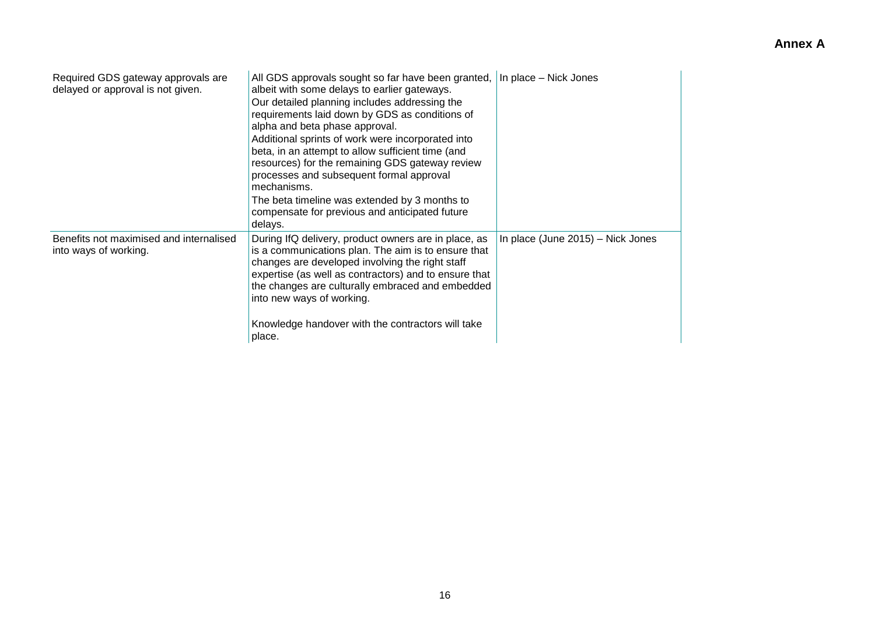| Required GDS gateway approvals are<br>delayed or approval is not given. | All GDS approvals sought so far have been granted,<br>albeit with some delays to earlier gateways.<br>Our detailed planning includes addressing the<br>requirements laid down by GDS as conditions of<br>alpha and beta phase approval.<br>Additional sprints of work were incorporated into<br>beta, in an attempt to allow sufficient time (and<br>resources) for the remaining GDS gateway review<br>processes and subsequent formal approval<br>mechanisms.<br>The beta timeline was extended by 3 months to<br>compensate for previous and anticipated future<br>delays. | In place - Nick Jones             |
|-------------------------------------------------------------------------|-------------------------------------------------------------------------------------------------------------------------------------------------------------------------------------------------------------------------------------------------------------------------------------------------------------------------------------------------------------------------------------------------------------------------------------------------------------------------------------------------------------------------------------------------------------------------------|-----------------------------------|
| Benefits not maximised and internalised<br>into ways of working.        | During IfQ delivery, product owners are in place, as<br>is a communications plan. The aim is to ensure that<br>changes are developed involving the right staff<br>expertise (as well as contractors) and to ensure that<br>the changes are culturally embraced and embedded<br>into new ways of working.<br>Knowledge handover with the contractors will take<br>place.                                                                                                                                                                                                       | In place (June 2015) - Nick Jones |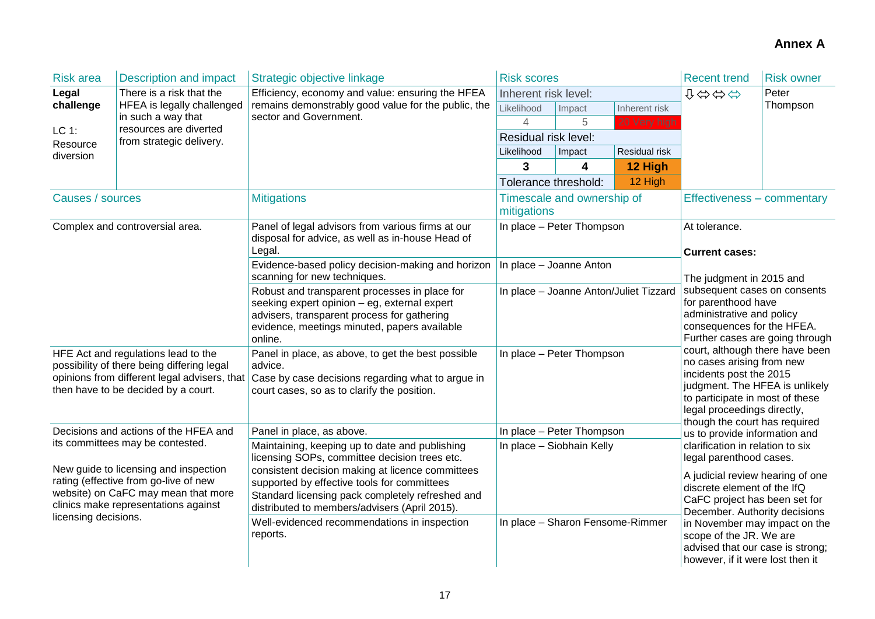| <b>Risk area</b>                                                                                                                                                         | <b>Description and impact</b>                | Strategic objective linkage                                                                                                                                                                             | <b>Risk scores</b>                                                  |                            |               | <b>Recent trend</b>                                                                                                                                                                                                                                                                                                                                                               | <b>Risk owner</b> |
|--------------------------------------------------------------------------------------------------------------------------------------------------------------------------|----------------------------------------------|---------------------------------------------------------------------------------------------------------------------------------------------------------------------------------------------------------|---------------------------------------------------------------------|----------------------------|---------------|-----------------------------------------------------------------------------------------------------------------------------------------------------------------------------------------------------------------------------------------------------------------------------------------------------------------------------------------------------------------------------------|-------------------|
| Legal                                                                                                                                                                    | There is a risk that the                     | Efficiency, economy and value: ensuring the HFEA                                                                                                                                                        |                                                                     | Inherent risk level:       |               |                                                                                                                                                                                                                                                                                                                                                                                   | Peter             |
| challenge                                                                                                                                                                | HFEA is legally challenged                   | remains demonstrably good value for the public, the<br>sector and Government.                                                                                                                           | Likelihood                                                          | Impact                     | Inherent risk |                                                                                                                                                                                                                                                                                                                                                                                   | Thompson          |
| LC 1:                                                                                                                                                                    | in such a way that<br>resources are diverted |                                                                                                                                                                                                         | 4                                                                   | 5                          | 20 Very high  |                                                                                                                                                                                                                                                                                                                                                                                   |                   |
| Resource                                                                                                                                                                 | from strategic delivery.                     |                                                                                                                                                                                                         | Residual risk level:                                                |                            |               |                                                                                                                                                                                                                                                                                                                                                                                   |                   |
| diversion                                                                                                                                                                |                                              |                                                                                                                                                                                                         | Likelihood                                                          | Impact                     | Residual risk |                                                                                                                                                                                                                                                                                                                                                                                   |                   |
|                                                                                                                                                                          |                                              |                                                                                                                                                                                                         | 3                                                                   | 4                          | 12 High       |                                                                                                                                                                                                                                                                                                                                                                                   |                   |
|                                                                                                                                                                          |                                              |                                                                                                                                                                                                         | Tolerance threshold:                                                |                            | 12 High       |                                                                                                                                                                                                                                                                                                                                                                                   |                   |
| Causes / sources                                                                                                                                                         |                                              | <b>Mitigations</b>                                                                                                                                                                                      | mitigations                                                         | Timescale and ownership of |               | Effectiveness – commentary                                                                                                                                                                                                                                                                                                                                                        |                   |
|                                                                                                                                                                          | Complex and controversial area.              | Panel of legal advisors from various firms at our<br>disposal for advice, as well as in-house Head of                                                                                                   |                                                                     | In place - Peter Thompson  |               | At tolerance.                                                                                                                                                                                                                                                                                                                                                                     |                   |
|                                                                                                                                                                          |                                              | Legal.<br>Evidence-based policy decision-making and horizon<br>scanning for new techniques.                                                                                                             | In place - Joanne Anton                                             |                            |               | <b>Current cases:</b><br>The judgment in 2015 and                                                                                                                                                                                                                                                                                                                                 |                   |
|                                                                                                                                                                          |                                              | Robust and transparent processes in place for<br>seeking expert opinion - eg, external expert<br>advisers, transparent process for gathering<br>evidence, meetings minuted, papers available<br>online. | In place - Joanne Anton/Juliet Tizzard<br>In place - Peter Thompson |                            |               | subsequent cases on consents<br>for parenthood have<br>administrative and policy<br>consequences for the HFEA.<br>Further cases are going through<br>court, although there have been<br>no cases arising from new<br>incidents post the 2015<br>judgment. The HFEA is unlikely<br>to participate in most of these<br>legal proceedings directly,<br>though the court has required |                   |
| HFE Act and regulations lead to the<br>possibility of there being differing legal<br>opinions from different legal advisers, that<br>then have to be decided by a court. |                                              | Panel in place, as above, to get the best possible<br>advice.<br>Case by case decisions regarding what to argue in<br>court cases, so as to clarify the position.                                       |                                                                     |                            |               |                                                                                                                                                                                                                                                                                                                                                                                   |                   |
|                                                                                                                                                                          | Decisions and actions of the HFEA and        | Panel in place, as above.                                                                                                                                                                               |                                                                     | In place - Peter Thompson  |               | us to provide information and                                                                                                                                                                                                                                                                                                                                                     |                   |
| its committees may be contested.                                                                                                                                         |                                              | Maintaining, keeping up to date and publishing<br>licensing SOPs, committee decision trees etc.                                                                                                         |                                                                     | In place - Siobhain Kelly  |               | clarification in relation to six<br>legal parenthood cases.                                                                                                                                                                                                                                                                                                                       |                   |
| New guide to licensing and inspection<br>rating (effective from go-live of new<br>website) on CaFC may mean that more<br>clinics make representations against            |                                              | consistent decision making at licence committees<br>supported by effective tools for committees<br>Standard licensing pack completely refreshed and<br>distributed to members/advisers (April 2015).    |                                                                     |                            |               | A judicial review hearing of one<br>discrete element of the IfQ<br>CaFC project has been set for<br>December. Authority decisions                                                                                                                                                                                                                                                 |                   |
| licensing decisions.                                                                                                                                                     |                                              | Well-evidenced recommendations in inspection<br>reports.                                                                                                                                                | In place - Sharon Fensome-Rimmer                                    |                            |               | in November may impact on the<br>scope of the JR. We are<br>advised that our case is strong;<br>however, if it were lost then it                                                                                                                                                                                                                                                  |                   |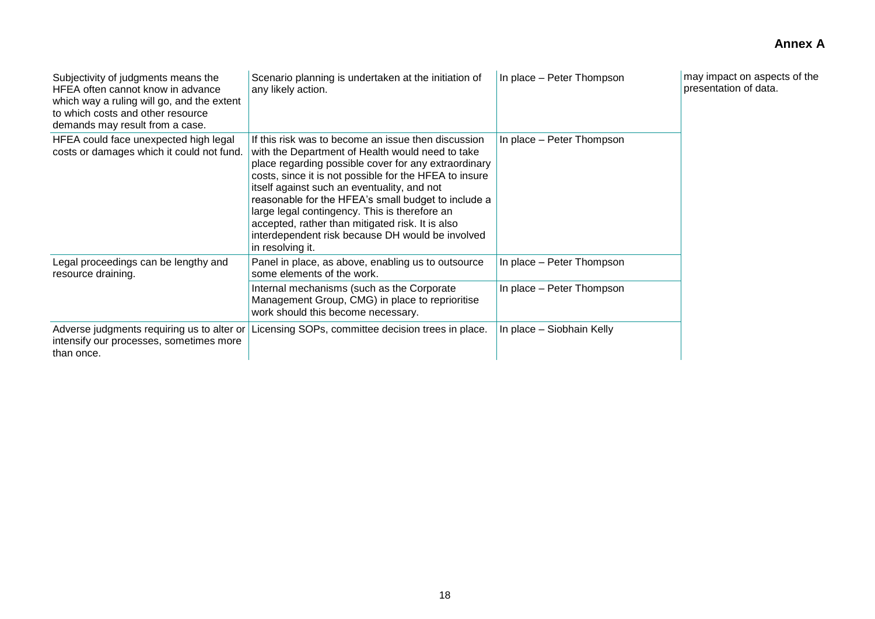| Subjectivity of judgments means the<br>HFEA often cannot know in advance<br>which way a ruling will go, and the extent<br>to which costs and other resource<br>demands may result from a case. | Scenario planning is undertaken at the initiation of<br>any likely action.                                                                                                                                                                                                                                                                                                                                                                                                                                   | In place - Peter Thompson | may impact on aspects of the<br>presentation of data. |
|------------------------------------------------------------------------------------------------------------------------------------------------------------------------------------------------|--------------------------------------------------------------------------------------------------------------------------------------------------------------------------------------------------------------------------------------------------------------------------------------------------------------------------------------------------------------------------------------------------------------------------------------------------------------------------------------------------------------|---------------------------|-------------------------------------------------------|
| HFEA could face unexpected high legal<br>costs or damages which it could not fund.                                                                                                             | If this risk was to become an issue then discussion<br>with the Department of Health would need to take<br>place regarding possible cover for any extraordinary<br>costs, since it is not possible for the HFEA to insure<br>itself against such an eventuality, and not<br>reasonable for the HFEA's small budget to include a<br>large legal contingency. This is therefore an<br>accepted, rather than mitigated risk. It is also<br>interdependent risk because DH would be involved<br>in resolving it. | In place - Peter Thompson |                                                       |
| Legal proceedings can be lengthy and<br>resource draining.                                                                                                                                     | Panel in place, as above, enabling us to outsource<br>some elements of the work.                                                                                                                                                                                                                                                                                                                                                                                                                             | In place - Peter Thompson |                                                       |
|                                                                                                                                                                                                | Internal mechanisms (such as the Corporate<br>Management Group, CMG) in place to reprioritise<br>work should this become necessary.                                                                                                                                                                                                                                                                                                                                                                          | In place - Peter Thompson |                                                       |
| Adverse judgments requiring us to alter or<br>intensify our processes, sometimes more<br>than once.                                                                                            | Licensing SOPs, committee decision trees in place.                                                                                                                                                                                                                                                                                                                                                                                                                                                           | In place - Siobhain Kelly |                                                       |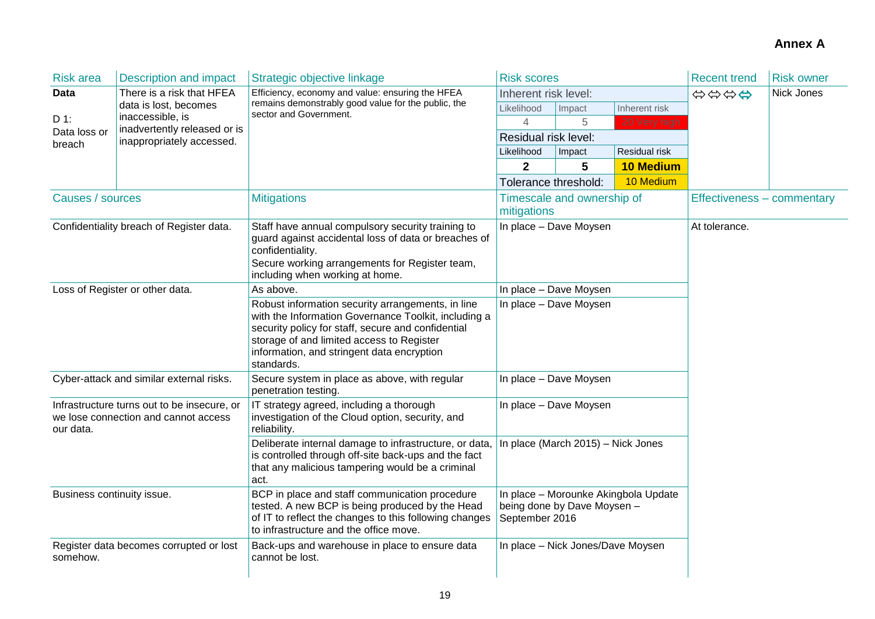| <b>Risk area</b>                                                                                 | <b>Description and impact</b>                    | Strategic objective linkage                                                                                                                                                                                                                                              | <b>Risk scores</b>                                                                    |                                   |                  | <b>Recent trend</b>        | <b>Risk owner</b> |  |
|--------------------------------------------------------------------------------------------------|--------------------------------------------------|--------------------------------------------------------------------------------------------------------------------------------------------------------------------------------------------------------------------------------------------------------------------------|---------------------------------------------------------------------------------------|-----------------------------------|------------------|----------------------------|-------------------|--|
| <b>Data</b>                                                                                      | There is a risk that HFEA                        | Efficiency, economy and value: ensuring the HFEA                                                                                                                                                                                                                         | Inherent risk level:                                                                  |                                   |                  | \$\$\$\$                   | Nick Jones        |  |
|                                                                                                  | data is lost, becomes                            | remains demonstrably good value for the public, the<br>sector and Government.                                                                                                                                                                                            | Likelihood                                                                            | Impact                            | Inherent risk    |                            |                   |  |
| $D$ 1:                                                                                           | inaccessible, is<br>inadvertently released or is |                                                                                                                                                                                                                                                                          | 4                                                                                     | 5                                 | 20 Very high     |                            |                   |  |
| Data loss or<br>breach                                                                           | inappropriately accessed.                        |                                                                                                                                                                                                                                                                          | Residual risk level:                                                                  |                                   |                  |                            |                   |  |
|                                                                                                  |                                                  |                                                                                                                                                                                                                                                                          | Residual risk<br>Likelihood<br>Impact                                                 |                                   |                  |                            |                   |  |
|                                                                                                  |                                                  |                                                                                                                                                                                                                                                                          | $\mathbf{2}$                                                                          | 5                                 | <b>10 Medium</b> |                            |                   |  |
|                                                                                                  |                                                  |                                                                                                                                                                                                                                                                          | Tolerance threshold:                                                                  |                                   | 10 Medium        |                            |                   |  |
| Causes / sources                                                                                 |                                                  | <b>Mitigations</b>                                                                                                                                                                                                                                                       | mitigations                                                                           | Timescale and ownership of        |                  | Effectiveness - commentary |                   |  |
| Confidentiality breach of Register data.                                                         |                                                  | Staff have annual compulsory security training to<br>guard against accidental loss of data or breaches of<br>confidentiality.<br>Secure working arrangements for Register team,<br>including when working at home.                                                       |                                                                                       | In place - Dave Moysen            |                  | At tolerance.              |                   |  |
|                                                                                                  | Loss of Register or other data.                  | As above.                                                                                                                                                                                                                                                                |                                                                                       | In place - Dave Moysen            |                  |                            |                   |  |
|                                                                                                  |                                                  | Robust information security arrangements, in line<br>with the Information Governance Toolkit, including a<br>security policy for staff, secure and confidential<br>storage of and limited access to Register<br>information, and stringent data encryption<br>standards. | In place - Dave Moysen                                                                |                                   |                  |                            |                   |  |
|                                                                                                  | Cyber-attack and similar external risks.         | Secure system in place as above, with regular<br>penetration testing.                                                                                                                                                                                                    |                                                                                       | In place - Dave Moysen            |                  |                            |                   |  |
| Infrastructure turns out to be insecure, or<br>we lose connection and cannot access<br>our data. |                                                  | IT strategy agreed, including a thorough<br>investigation of the Cloud option, security, and<br>reliability.                                                                                                                                                             | In place - Dave Moysen                                                                |                                   |                  |                            |                   |  |
|                                                                                                  |                                                  | Deliberate internal damage to infrastructure, or data.<br>is controlled through off-site back-ups and the fact<br>that any malicious tampering would be a criminal<br>act.                                                                                               | In place (March 2015) - Nick Jones                                                    |                                   |                  |                            |                   |  |
| Business continuity issue.                                                                       |                                                  | BCP in place and staff communication procedure<br>tested. A new BCP is being produced by the Head<br>of IT to reflect the changes to this following changes<br>to infrastructure and the office move.                                                                    | In place - Morounke Akingbola Update<br>being done by Dave Moysen -<br>September 2016 |                                   |                  |                            |                   |  |
| somehow.                                                                                         | Register data becomes corrupted or lost          | Back-ups and warehouse in place to ensure data<br>cannot be lost.                                                                                                                                                                                                        |                                                                                       | In place - Nick Jones/Dave Moysen |                  |                            |                   |  |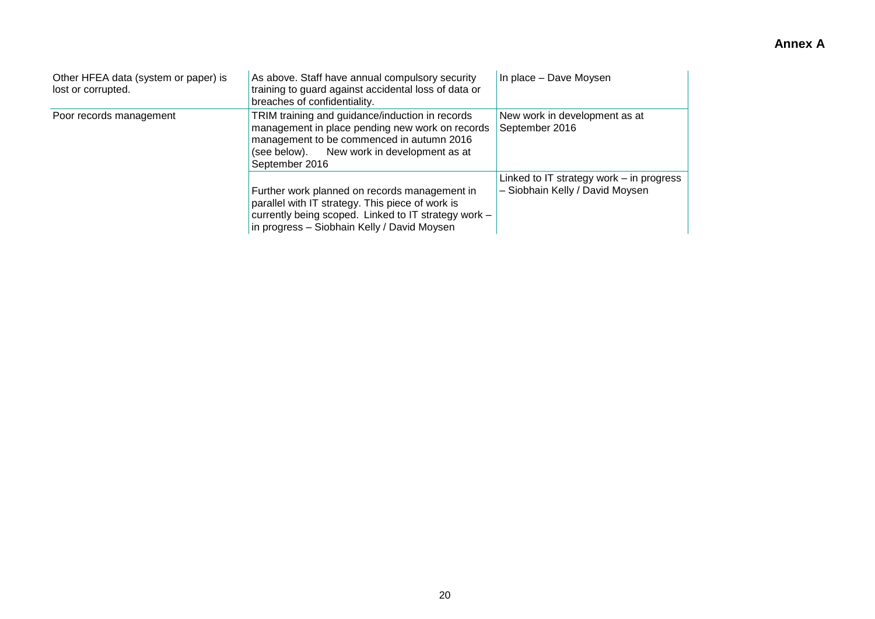| Other HFEA data (system or paper) is<br>lost or corrupted. | As above. Staff have annual compulsory security<br>training to guard against accidental loss of data or<br>breaches of confidentiality.                                                                            | In place - Dave Moysen                                                      |
|------------------------------------------------------------|--------------------------------------------------------------------------------------------------------------------------------------------------------------------------------------------------------------------|-----------------------------------------------------------------------------|
| Poor records management                                    | TRIM training and guidance/induction in records<br>management in place pending new work on records<br>management to be commenced in autumn 2016<br>New work in development as at<br>(see below).<br>September 2016 | New work in development as at<br>September 2016                             |
|                                                            | Further work planned on records management in<br>parallel with IT strategy. This piece of work is<br>currently being scoped. Linked to IT strategy work -<br>in progress - Siobhain Kelly / David Moysen           | Linked to IT strategy work - in progress<br>- Siobhain Kelly / David Moysen |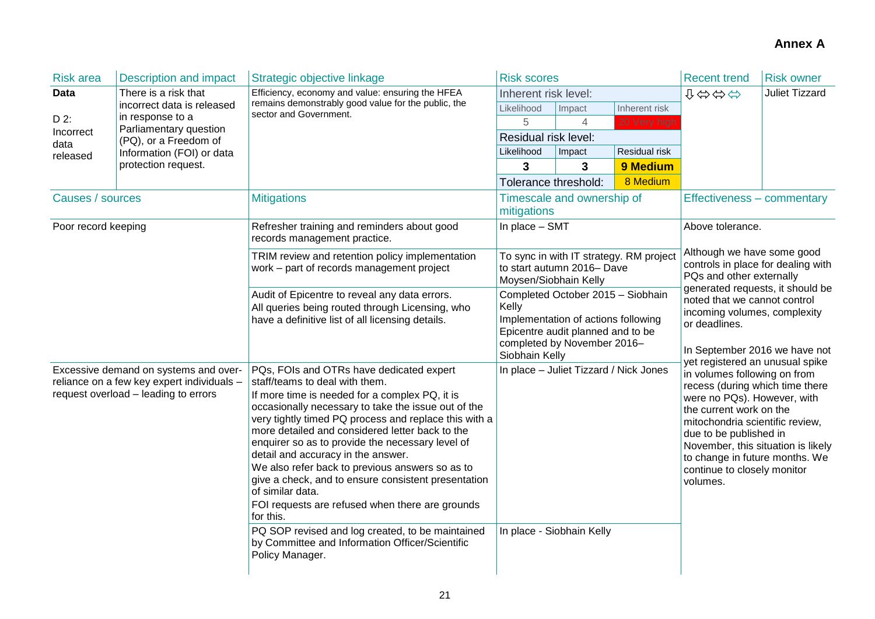| <b>Risk area</b>                                                                                                            | <b>Description and impact</b>              | Strategic objective linkage                                                                                                                                                                                                                                                                                                                                                                                                                                                                                                                                                                                                                 | <b>Risk scores</b>                                                                                                                                                                                                                                                                                                                                  |                            |                                         | <b>Recent trend</b><br><b>Risk owner</b>                                                                                                                                              |                       |  |
|-----------------------------------------------------------------------------------------------------------------------------|--------------------------------------------|---------------------------------------------------------------------------------------------------------------------------------------------------------------------------------------------------------------------------------------------------------------------------------------------------------------------------------------------------------------------------------------------------------------------------------------------------------------------------------------------------------------------------------------------------------------------------------------------------------------------------------------------|-----------------------------------------------------------------------------------------------------------------------------------------------------------------------------------------------------------------------------------------------------------------------------------------------------------------------------------------------------|----------------------------|-----------------------------------------|---------------------------------------------------------------------------------------------------------------------------------------------------------------------------------------|-----------------------|--|
| <b>Data</b>                                                                                                                 | There is a risk that                       | Efficiency, economy and value: ensuring the HFEA<br>remains demonstrably good value for the public, the<br>sector and Government.                                                                                                                                                                                                                                                                                                                                                                                                                                                                                                           | Inherent risk level:                                                                                                                                                                                                                                                                                                                                |                            |                                         | ↓⇔⇔⇔                                                                                                                                                                                  | <b>Juliet Tizzard</b> |  |
| D 2:                                                                                                                        | incorrect data is released                 |                                                                                                                                                                                                                                                                                                                                                                                                                                                                                                                                                                                                                                             | Likelihood                                                                                                                                                                                                                                                                                                                                          | Impact                     | Inherent risk                           |                                                                                                                                                                                       |                       |  |
|                                                                                                                             | in response to a<br>Parliamentary question |                                                                                                                                                                                                                                                                                                                                                                                                                                                                                                                                                                                                                                             | 5                                                                                                                                                                                                                                                                                                                                                   | 4                          | 20 Very high                            |                                                                                                                                                                                       |                       |  |
| Incorrect<br>data                                                                                                           | (PQ), or a Freedom of                      |                                                                                                                                                                                                                                                                                                                                                                                                                                                                                                                                                                                                                                             | Residual risk level:                                                                                                                                                                                                                                                                                                                                |                            |                                         |                                                                                                                                                                                       |                       |  |
| released                                                                                                                    | Information (FOI) or data                  |                                                                                                                                                                                                                                                                                                                                                                                                                                                                                                                                                                                                                                             | Likelihood                                                                                                                                                                                                                                                                                                                                          | Impact                     | Residual risk                           |                                                                                                                                                                                       |                       |  |
|                                                                                                                             | protection request.                        |                                                                                                                                                                                                                                                                                                                                                                                                                                                                                                                                                                                                                                             | 3                                                                                                                                                                                                                                                                                                                                                   | 3                          | 9 Medium                                |                                                                                                                                                                                       |                       |  |
|                                                                                                                             |                                            |                                                                                                                                                                                                                                                                                                                                                                                                                                                                                                                                                                                                                                             | Tolerance threshold:                                                                                                                                                                                                                                                                                                                                |                            | 8 Medium                                |                                                                                                                                                                                       |                       |  |
| Causes / sources                                                                                                            |                                            | <b>Mitigations</b>                                                                                                                                                                                                                                                                                                                                                                                                                                                                                                                                                                                                                          | mitigations                                                                                                                                                                                                                                                                                                                                         | Timescale and ownership of |                                         | Effectiveness – commentary                                                                                                                                                            |                       |  |
| Poor record keeping                                                                                                         |                                            | Refresher training and reminders about good<br>records management practice.                                                                                                                                                                                                                                                                                                                                                                                                                                                                                                                                                                 | In place - SMT                                                                                                                                                                                                                                                                                                                                      |                            |                                         | Above tolerance.                                                                                                                                                                      |                       |  |
|                                                                                                                             |                                            | TRIM review and retention policy implementation<br>work - part of records management project                                                                                                                                                                                                                                                                                                                                                                                                                                                                                                                                                | Moysen/Siobhain Kelly                                                                                                                                                                                                                                                                                                                               | to start autumn 2016- Dave | To sync in with IT strategy. RM project | Although we have some good<br>controls in place for dealing with<br>PQs and other externally                                                                                          |                       |  |
|                                                                                                                             |                                            | Audit of Epicentre to reveal any data errors.<br>All queries being routed through Licensing, who<br>have a definitive list of all licensing details.                                                                                                                                                                                                                                                                                                                                                                                                                                                                                        | Completed October 2015 - Siobhain<br>Kelly<br>Implementation of actions following<br>Epicentre audit planned and to be<br>completed by November 2016-<br>Siobhain Kelly                                                                                                                                                                             |                            |                                         | generated requests, it should be<br>noted that we cannot control<br>incoming volumes, complexity<br>or deadlines.<br>In September 2016 we have not<br>yet registered an unusual spike |                       |  |
| Excessive demand on systems and over-<br>reliance on a few key expert individuals -<br>request overload - leading to errors |                                            | PQs, FOIs and OTRs have dedicated expert<br>staff/teams to deal with them.<br>If more time is needed for a complex PQ, it is<br>occasionally necessary to take the issue out of the<br>very tightly timed PQ process and replace this with a<br>more detailed and considered letter back to the<br>enquirer so as to provide the necessary level of<br>detail and accuracy in the answer.<br>We also refer back to previous answers so as to<br>give a check, and to ensure consistent presentation<br>of similar data.<br>FOI requests are refused when there are grounds<br>for this.<br>PQ SOP revised and log created, to be maintained | In place - Juliet Tizzard / Nick Jones<br>in volumes following on from<br>recess (during which time there<br>were no PQs). However, with<br>the current work on the<br>mitochondria scientific review,<br>due to be published in<br>November, this situation is likely<br>to change in future months. We<br>continue to closely monitor<br>volumes. |                            |                                         |                                                                                                                                                                                       |                       |  |
|                                                                                                                             |                                            | by Committee and Information Officer/Scientific<br>Policy Manager.                                                                                                                                                                                                                                                                                                                                                                                                                                                                                                                                                                          |                                                                                                                                                                                                                                                                                                                                                     | In place - Siobhain Kelly  |                                         |                                                                                                                                                                                       |                       |  |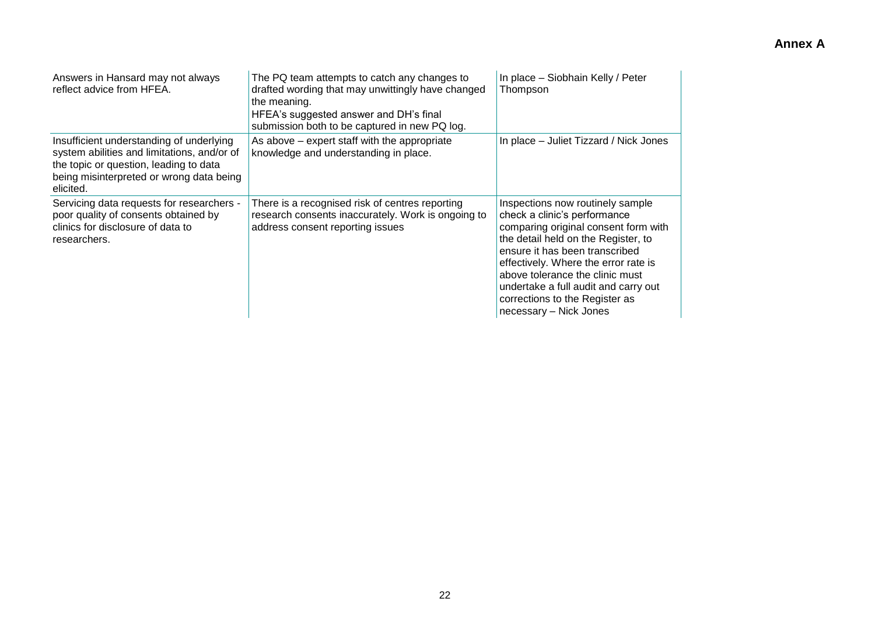| Answers in Hansard may not always<br>reflect advice from HFEA.                                                                                                                             | The PQ team attempts to catch any changes to<br>drafted wording that may unwittingly have changed<br>the meaning.<br>HFEA's suggested answer and DH's final<br>submission both to be captured in new PQ log. | In place - Siobhain Kelly / Peter<br>Thompson                                                                                                                                                                                                                                                                                                                    |
|--------------------------------------------------------------------------------------------------------------------------------------------------------------------------------------------|--------------------------------------------------------------------------------------------------------------------------------------------------------------------------------------------------------------|------------------------------------------------------------------------------------------------------------------------------------------------------------------------------------------------------------------------------------------------------------------------------------------------------------------------------------------------------------------|
| Insufficient understanding of underlying<br>system abilities and limitations, and/or of<br>the topic or question, leading to data<br>being misinterpreted or wrong data being<br>elicited. | As above – expert staff with the appropriate<br>knowledge and understanding in place.                                                                                                                        | In place – Juliet Tizzard / Nick Jones                                                                                                                                                                                                                                                                                                                           |
| Servicing data requests for researchers -<br>poor quality of consents obtained by<br>clinics for disclosure of data to<br>researchers.                                                     | There is a recognised risk of centres reporting<br>research consents inaccurately. Work is ongoing to<br>address consent reporting issues                                                                    | Inspections now routinely sample<br>check a clinic's performance<br>comparing original consent form with<br>the detail held on the Register, to<br>ensure it has been transcribed<br>effectively. Where the error rate is<br>above tolerance the clinic must<br>undertake a full audit and carry out<br>corrections to the Register as<br>necessary - Nick Jones |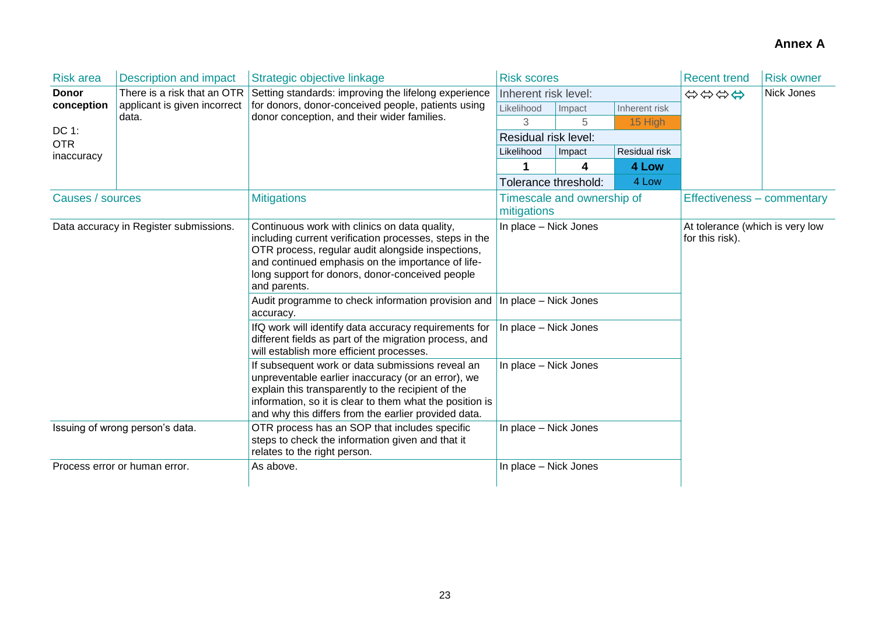| <b>Risk area</b>                       | <b>Description and impact</b>   | Strategic objective linkage                                                                                                                                                                                                                                                                                                                             | <b>Risk scores</b>                             |        |               | <b>Recent trend</b>                                | <b>Risk owner</b> |  |
|----------------------------------------|---------------------------------|---------------------------------------------------------------------------------------------------------------------------------------------------------------------------------------------------------------------------------------------------------------------------------------------------------------------------------------------------------|------------------------------------------------|--------|---------------|----------------------------------------------------|-------------------|--|
| <b>Donor</b>                           | There is a risk that an OTR     | Setting standards: improving the lifelong experience                                                                                                                                                                                                                                                                                                    | Inherent risk level:                           |        |               | Nick Jones<br>\$\$\$\$                             |                   |  |
| conception                             | applicant is given incorrect    | for donors, donor-conceived people, patients using                                                                                                                                                                                                                                                                                                      | Likelihood                                     | Impact | Inherent risk |                                                    |                   |  |
|                                        | data.                           | donor conception, and their wider families.                                                                                                                                                                                                                                                                                                             | 3                                              | 5      | 15 High       |                                                    |                   |  |
| DC 1:<br><b>OTR</b>                    |                                 |                                                                                                                                                                                                                                                                                                                                                         | Residual risk level:                           |        |               |                                                    |                   |  |
| inaccuracy                             |                                 |                                                                                                                                                                                                                                                                                                                                                         | Residual risk<br>Likelihood<br>Impact          |        |               |                                                    |                   |  |
|                                        |                                 |                                                                                                                                                                                                                                                                                                                                                         |                                                | 4      | 4 Low         |                                                    |                   |  |
|                                        |                                 |                                                                                                                                                                                                                                                                                                                                                         | Tolerance threshold:                           |        | 4 Low         |                                                    |                   |  |
| Causes / sources                       |                                 | <b>Mitigations</b>                                                                                                                                                                                                                                                                                                                                      | Timescale and ownership of<br>mitigations      |        |               | Effectiveness - commentary                         |                   |  |
| Data accuracy in Register submissions. |                                 | Continuous work with clinics on data quality,<br>including current verification processes, steps in the<br>OTR process, regular audit alongside inspections,<br>and continued emphasis on the importance of life-<br>long support for donors, donor-conceived people<br>and parents.<br>Audit programme to check information provision and<br>accuracy. | In place - Nick Jones<br>In place - Nick Jones |        |               | At tolerance (which is very low<br>for this risk). |                   |  |
|                                        |                                 | IfQ work will identify data accuracy requirements for<br>different fields as part of the migration process, and<br>will establish more efficient processes.                                                                                                                                                                                             | In place - Nick Jones                          |        |               |                                                    |                   |  |
|                                        |                                 | If subsequent work or data submissions reveal an<br>unpreventable earlier inaccuracy (or an error), we<br>explain this transparently to the recipient of the<br>information, so it is clear to them what the position is<br>and why this differs from the earlier provided data.                                                                        | In place - Nick Jones                          |        |               |                                                    |                   |  |
|                                        | Issuing of wrong person's data. | OTR process has an SOP that includes specific<br>steps to check the information given and that it<br>relates to the right person.                                                                                                                                                                                                                       | In place - Nick Jones                          |        |               |                                                    |                   |  |
|                                        | Process error or human error.   | As above.                                                                                                                                                                                                                                                                                                                                               | In place - Nick Jones                          |        |               |                                                    |                   |  |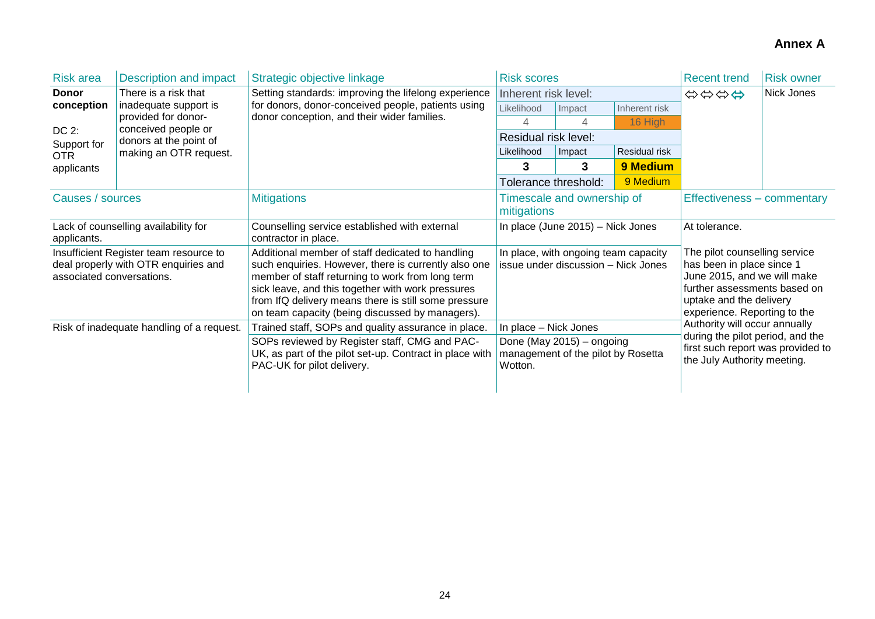| <b>Risk area</b>                                                                                            | Description and impact                        | Strategic objective linkage                                                                                                                                                                                                                                                                                                  | <b>Risk scores</b>                                                                                  |        |               | <b>Recent trend</b>                                                                                                                                                                  | <b>Risk owner</b> |  |
|-------------------------------------------------------------------------------------------------------------|-----------------------------------------------|------------------------------------------------------------------------------------------------------------------------------------------------------------------------------------------------------------------------------------------------------------------------------------------------------------------------------|-----------------------------------------------------------------------------------------------------|--------|---------------|--------------------------------------------------------------------------------------------------------------------------------------------------------------------------------------|-------------------|--|
| <b>Donor</b>                                                                                                | There is a risk that                          | Setting standards: improving the lifelong experience                                                                                                                                                                                                                                                                         | Inherent risk level:                                                                                |        |               | Nick Jones<br>\$\$\$\$                                                                                                                                                               |                   |  |
| conception                                                                                                  | inadequate support is                         | for donors, donor-conceived people, patients using                                                                                                                                                                                                                                                                           | Likelihood                                                                                          | Impact | Inherent risk |                                                                                                                                                                                      |                   |  |
|                                                                                                             | provided for donor-                           | donor conception, and their wider families.                                                                                                                                                                                                                                                                                  | 4                                                                                                   | 4      | 16 High       |                                                                                                                                                                                      |                   |  |
| DC 2:<br>Support for                                                                                        | conceived people or<br>donors at the point of |                                                                                                                                                                                                                                                                                                                              | Residual risk level:                                                                                |        |               |                                                                                                                                                                                      |                   |  |
| OTR.                                                                                                        | making an OTR request.                        |                                                                                                                                                                                                                                                                                                                              | Likelihood                                                                                          | Impact | Residual risk |                                                                                                                                                                                      |                   |  |
| applicants                                                                                                  |                                               |                                                                                                                                                                                                                                                                                                                              | 3                                                                                                   | 3      | 9 Medium      |                                                                                                                                                                                      |                   |  |
|                                                                                                             |                                               |                                                                                                                                                                                                                                                                                                                              | Tolerance threshold:                                                                                |        | 9 Medium      |                                                                                                                                                                                      |                   |  |
| Causes / sources                                                                                            |                                               | <b>Mitigations</b>                                                                                                                                                                                                                                                                                                           | Timescale and ownership of<br>mitigations                                                           |        |               | Effectiveness – commentary                                                                                                                                                           |                   |  |
| Lack of counselling availability for<br>applicants.                                                         |                                               | Counselling service established with external<br>contractor in place.                                                                                                                                                                                                                                                        | In place (June 2015) - Nick Jones                                                                   |        |               | At tolerance.                                                                                                                                                                        |                   |  |
| Insufficient Register team resource to<br>deal properly with OTR enquiries and<br>associated conversations. |                                               | Additional member of staff dedicated to handling<br>such enquiries. However, there is currently also one<br>member of staff returning to work from long term<br>sick leave, and this together with work pressures<br>from IfQ delivery means there is still some pressure<br>on team capacity (being discussed by managers). | In place, with ongoing team capacity<br>issue under discussion - Nick Jones                         |        |               | The pilot counselling service<br>has been in place since 1<br>June 2015, and we will make<br>further assessments based on<br>uptake and the delivery<br>experience. Reporting to the |                   |  |
| Risk of inadequate handling of a request.                                                                   |                                               | Trained staff, SOPs and quality assurance in place.<br>SOPs reviewed by Register staff, CMG and PAC-<br>UK, as part of the pilot set-up. Contract in place with<br>PAC-UK for pilot delivery.                                                                                                                                | In place - Nick Jones<br>Done (May 2015) - ongoing<br>management of the pilot by Rosetta<br>Wotton. |        |               | Authority will occur annually<br>during the pilot period, and the<br>first such report was provided to<br>the July Authority meeting.                                                |                   |  |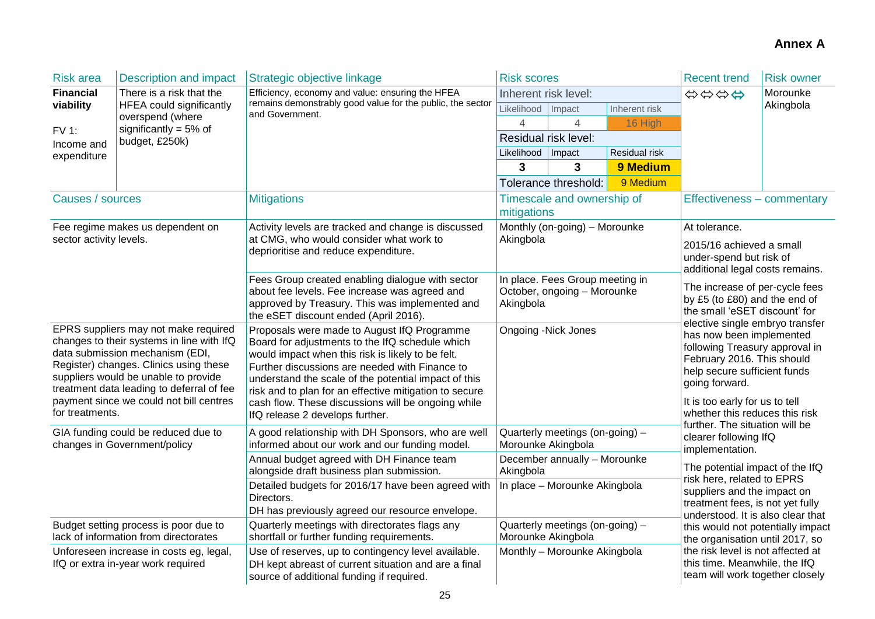| <b>Risk area</b>                                                                                                                                                                                                                                                                                                                                                                         | <b>Description and impact</b>                                                  | Strategic objective linkage                                                                                                                                                                                                                                                                                                                                                                                      | <b>Risk scores</b>                                                                  |                                                                |               | <b>Recent trend</b>                                                                                                                                                                                                                                                                          | <b>Risk owner</b> |  |
|------------------------------------------------------------------------------------------------------------------------------------------------------------------------------------------------------------------------------------------------------------------------------------------------------------------------------------------------------------------------------------------|--------------------------------------------------------------------------------|------------------------------------------------------------------------------------------------------------------------------------------------------------------------------------------------------------------------------------------------------------------------------------------------------------------------------------------------------------------------------------------------------------------|-------------------------------------------------------------------------------------|----------------------------------------------------------------|---------------|----------------------------------------------------------------------------------------------------------------------------------------------------------------------------------------------------------------------------------------------------------------------------------------------|-------------------|--|
| <b>Financial</b>                                                                                                                                                                                                                                                                                                                                                                         | There is a risk that the                                                       | Efficiency, economy and value: ensuring the HFEA                                                                                                                                                                                                                                                                                                                                                                 | Inherent risk level:                                                                |                                                                |               | \$\$\$\$                                                                                                                                                                                                                                                                                     | Morounke          |  |
| viability                                                                                                                                                                                                                                                                                                                                                                                | <b>HFEA could significantly</b><br>overspend (where                            | remains demonstrably good value for the public, the sector<br>and Government.                                                                                                                                                                                                                                                                                                                                    | Likelihood                                                                          | Impact                                                         | Inherent risk |                                                                                                                                                                                                                                                                                              | Akingbola         |  |
| <b>FV 1:</b>                                                                                                                                                                                                                                                                                                                                                                             | significantly = $5\%$ of                                                       |                                                                                                                                                                                                                                                                                                                                                                                                                  | 4                                                                                   | 4                                                              | 16 High       |                                                                                                                                                                                                                                                                                              |                   |  |
| Income and                                                                                                                                                                                                                                                                                                                                                                               | budget, £250k)                                                                 |                                                                                                                                                                                                                                                                                                                                                                                                                  | Residual risk level:                                                                |                                                                |               |                                                                                                                                                                                                                                                                                              |                   |  |
| expenditure                                                                                                                                                                                                                                                                                                                                                                              |                                                                                |                                                                                                                                                                                                                                                                                                                                                                                                                  | Likelihood   Impact                                                                 |                                                                | Residual risk |                                                                                                                                                                                                                                                                                              |                   |  |
|                                                                                                                                                                                                                                                                                                                                                                                          |                                                                                |                                                                                                                                                                                                                                                                                                                                                                                                                  | 3                                                                                   | 3                                                              | 9 Medium      |                                                                                                                                                                                                                                                                                              |                   |  |
|                                                                                                                                                                                                                                                                                                                                                                                          |                                                                                |                                                                                                                                                                                                                                                                                                                                                                                                                  |                                                                                     | Tolerance threshold:                                           | 9 Medium      |                                                                                                                                                                                                                                                                                              |                   |  |
| Causes / sources                                                                                                                                                                                                                                                                                                                                                                         |                                                                                | <b>Mitigations</b>                                                                                                                                                                                                                                                                                                                                                                                               | mitigations                                                                         | Timescale and ownership of                                     |               | Effectiveness - commentary                                                                                                                                                                                                                                                                   |                   |  |
|                                                                                                                                                                                                                                                                                                                                                                                          | Fee regime makes us dependent on                                               | Activity levels are tracked and change is discussed                                                                                                                                                                                                                                                                                                                                                              |                                                                                     | Monthly (on-going) - Morounke                                  |               | At tolerance.                                                                                                                                                                                                                                                                                |                   |  |
| sector activity levels.                                                                                                                                                                                                                                                                                                                                                                  |                                                                                | at CMG, who would consider what work to<br>deprioritise and reduce expenditure.                                                                                                                                                                                                                                                                                                                                  | Akingbola                                                                           |                                                                |               | 2015/16 achieved a small<br>under-spend but risk of<br>additional legal costs remains.                                                                                                                                                                                                       |                   |  |
|                                                                                                                                                                                                                                                                                                                                                                                          |                                                                                | Fees Group created enabling dialogue with sector<br>about fee levels. Fee increase was agreed and<br>approved by Treasury. This was implemented and<br>the eSET discount ended (April 2016).                                                                                                                                                                                                                     | Akingbola                                                                           | In place. Fees Group meeting in<br>October, ongoing - Morounke |               | The increase of per-cycle fees<br>by £5 (to £80) and the end of<br>the small 'eSET discount' for<br>elective single embryo transfer                                                                                                                                                          |                   |  |
| EPRS suppliers may not make required<br>changes to their systems in line with IfQ<br>data submission mechanism (EDI,<br>Register) changes. Clinics using these<br>suppliers would be unable to provide<br>treatment data leading to deferral of fee<br>payment since we could not bill centres<br>for treatments.<br>GIA funding could be reduced due to<br>changes in Government/policy |                                                                                | Proposals were made to August IfQ Programme<br>Board for adjustments to the IfQ schedule which<br>would impact when this risk is likely to be felt.<br>Further discussions are needed with Finance to<br>understand the scale of the potential impact of this<br>risk and to plan for an effective mitigation to secure<br>cash flow. These discussions will be ongoing while<br>IfQ release 2 develops further. | <b>Ongoing -Nick Jones</b><br>Quarterly meetings (on-going) -<br>Morounke Akingbola |                                                                |               | has now been implemented<br>following Treasury approval in<br>February 2016. This should<br>help secure sufficient funds<br>going forward.<br>It is too early for us to tell<br>whether this reduces this risk<br>further. The situation will be<br>clearer following IfQ<br>implementation. |                   |  |
|                                                                                                                                                                                                                                                                                                                                                                                          |                                                                                | A good relationship with DH Sponsors, who are well<br>informed about our work and our funding model.                                                                                                                                                                                                                                                                                                             |                                                                                     |                                                                |               |                                                                                                                                                                                                                                                                                              |                   |  |
|                                                                                                                                                                                                                                                                                                                                                                                          |                                                                                | Annual budget agreed with DH Finance team<br>alongside draft business plan submission.                                                                                                                                                                                                                                                                                                                           | Akingbola                                                                           | December annually - Morounke                                   |               | The potential impact of the IfQ<br>risk here, related to EPRS                                                                                                                                                                                                                                |                   |  |
|                                                                                                                                                                                                                                                                                                                                                                                          |                                                                                | Detailed budgets for 2016/17 have been agreed with<br>Directors.<br>DH has previously agreed our resource envelope.                                                                                                                                                                                                                                                                                              |                                                                                     | In place - Morounke Akingbola                                  |               | suppliers and the impact on<br>treatment fees, is not yet fully                                                                                                                                                                                                                              |                   |  |
|                                                                                                                                                                                                                                                                                                                                                                                          | Budget setting process is poor due to<br>lack of information from directorates | Quarterly meetings with directorates flags any<br>shortfall or further funding requirements.                                                                                                                                                                                                                                                                                                                     | Morounke Akingbola                                                                  | Quarterly meetings (on-going) -                                |               | understood. It is also clear that<br>this would not potentially impact<br>the organisation until 2017, so                                                                                                                                                                                    |                   |  |
|                                                                                                                                                                                                                                                                                                                                                                                          | Unforeseen increase in costs eg, legal,<br>IfQ or extra in-year work required  | Use of reserves, up to contingency level available.<br>DH kept abreast of current situation and are a final<br>source of additional funding if required.                                                                                                                                                                                                                                                         | Monthly - Morounke Akingbola                                                        |                                                                |               | the risk level is not affected at<br>this time. Meanwhile, the IfQ<br>team will work together closely                                                                                                                                                                                        |                   |  |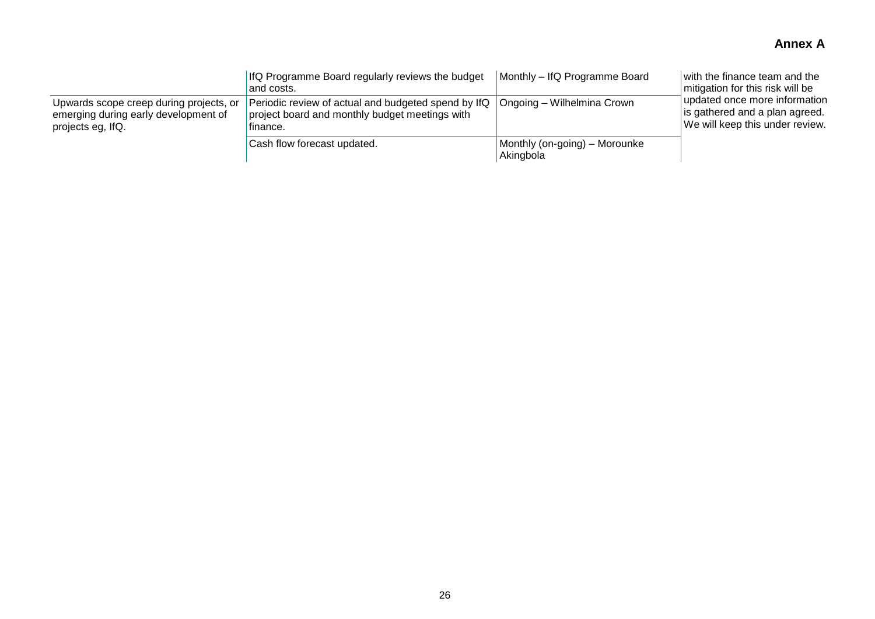|                                                                                                      | IfQ Programme Board regularly reviews the budget<br>and costs.                                                    | Monthly – IfQ Programme Board              | with the finance team and the<br>mitigation for this risk will be                                  |
|------------------------------------------------------------------------------------------------------|-------------------------------------------------------------------------------------------------------------------|--------------------------------------------|----------------------------------------------------------------------------------------------------|
| Upwards scope creep during projects, or<br>emerging during early development of<br>projects eg, IfQ. | Periodic review of actual and budgeted spend by IfQ<br>project board and monthly budget meetings with<br>finance. | Ongoing – Wilhelmina Crown                 | updated once more information<br>is gathered and a plan agreed.<br>We will keep this under review. |
|                                                                                                      | Cash flow forecast updated.                                                                                       | Monthly (on-going) – Morounke<br>Akingbola |                                                                                                    |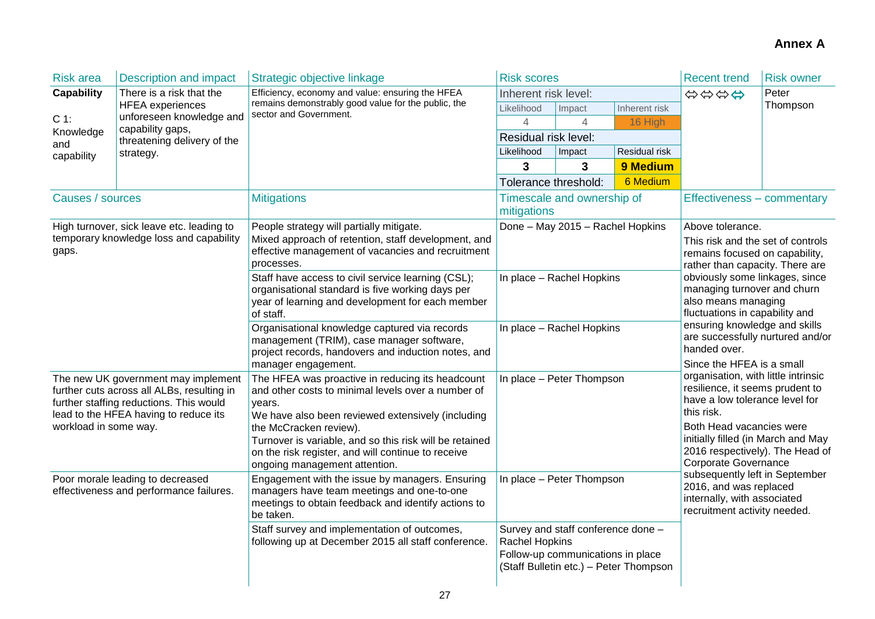| <b>Risk area</b>                                                                                          | <b>Description and impact</b>                                                                                                                   | Strategic objective linkage                                                                                                       | <b>Risk scores</b>                                                                                                                  |                |               | <b>Recent trend</b>                                                                                                                                                                                                                                         | <b>Risk owner</b> |
|-----------------------------------------------------------------------------------------------------------|-------------------------------------------------------------------------------------------------------------------------------------------------|-----------------------------------------------------------------------------------------------------------------------------------|-------------------------------------------------------------------------------------------------------------------------------------|----------------|---------------|-------------------------------------------------------------------------------------------------------------------------------------------------------------------------------------------------------------------------------------------------------------|-------------------|
| <b>Capability</b><br>$C 1$ :<br>Knowledge<br>and<br>capability                                            | There is a risk that the<br><b>HFEA</b> experiences<br>unforeseen knowledge and<br>capability gaps,<br>threatening delivery of the<br>strategy. | Efficiency, economy and value: ensuring the HFEA<br>remains demonstrably good value for the public, the<br>sector and Government. | Inherent risk level:                                                                                                                |                |               | \$\$\$\$                                                                                                                                                                                                                                                    | Peter             |
|                                                                                                           |                                                                                                                                                 |                                                                                                                                   | Likelihood                                                                                                                          | Impact         | Inherent risk |                                                                                                                                                                                                                                                             | Thompson          |
|                                                                                                           |                                                                                                                                                 |                                                                                                                                   | 4                                                                                                                                   | $\overline{4}$ | 16 High       |                                                                                                                                                                                                                                                             |                   |
|                                                                                                           |                                                                                                                                                 |                                                                                                                                   | Residual risk level:                                                                                                                |                |               |                                                                                                                                                                                                                                                             |                   |
|                                                                                                           |                                                                                                                                                 |                                                                                                                                   | Likelihood                                                                                                                          | Impact         | Residual risk |                                                                                                                                                                                                                                                             |                   |
|                                                                                                           |                                                                                                                                                 |                                                                                                                                   | 3                                                                                                                                   | 3              | 9 Medium      |                                                                                                                                                                                                                                                             |                   |
|                                                                                                           |                                                                                                                                                 |                                                                                                                                   | Tolerance threshold:                                                                                                                |                | 6 Medium      |                                                                                                                                                                                                                                                             |                   |
| Causes / sources                                                                                          |                                                                                                                                                 | <b>Mitigations</b>                                                                                                                | Timescale and ownership of<br>mitigations                                                                                           |                |               | Effectiveness - commentary                                                                                                                                                                                                                                  |                   |
|                                                                                                           | High turnover, sick leave etc. leading to                                                                                                       | People strategy will partially mitigate.                                                                                          | Done - May 2015 - Rachel Hopkins                                                                                                    |                |               | Above tolerance.                                                                                                                                                                                                                                            |                   |
|                                                                                                           | temporary knowledge loss and capability                                                                                                         | Mixed approach of retention, staff development, and                                                                               |                                                                                                                                     |                |               | This risk and the set of controls                                                                                                                                                                                                                           |                   |
| gaps.                                                                                                     |                                                                                                                                                 | effective management of vacancies and recruitment<br>processes.                                                                   |                                                                                                                                     |                |               | remains focused on capability,                                                                                                                                                                                                                              |                   |
|                                                                                                           |                                                                                                                                                 | Staff have access to civil service learning (CSL);                                                                                | In place - Rachel Hopkins                                                                                                           |                |               | rather than capacity. There are<br>obviously some linkages, since                                                                                                                                                                                           |                   |
|                                                                                                           |                                                                                                                                                 | organisational standard is five working days per                                                                                  |                                                                                                                                     |                |               | managing turnover and churn<br>also means managing<br>fluctuations in capability and<br>ensuring knowledge and skills<br>are successfully nurtured and/or<br>handed over.                                                                                   |                   |
|                                                                                                           |                                                                                                                                                 | year of learning and development for each member                                                                                  |                                                                                                                                     |                |               |                                                                                                                                                                                                                                                             |                   |
|                                                                                                           |                                                                                                                                                 | of staff.                                                                                                                         |                                                                                                                                     |                |               |                                                                                                                                                                                                                                                             |                   |
|                                                                                                           |                                                                                                                                                 | Organisational knowledge captured via records<br>management (TRIM), case manager software,                                        | In place - Rachel Hopkins                                                                                                           |                |               |                                                                                                                                                                                                                                                             |                   |
|                                                                                                           |                                                                                                                                                 | project records, handovers and induction notes, and                                                                               |                                                                                                                                     |                |               |                                                                                                                                                                                                                                                             |                   |
|                                                                                                           |                                                                                                                                                 | manager engagement.                                                                                                               |                                                                                                                                     |                |               | Since the HFEA is a small<br>organisation, with little intrinsic                                                                                                                                                                                            |                   |
| The new UK government may implement                                                                       |                                                                                                                                                 | The HFEA was proactive in reducing its headcount                                                                                  | In place - Peter Thompson                                                                                                           |                |               |                                                                                                                                                                                                                                                             |                   |
|                                                                                                           | further cuts across all ALBs, resulting in                                                                                                      | and other costs to minimal levels over a number of                                                                                |                                                                                                                                     |                |               | resilience, it seems prudent to<br>have a low tolerance level for                                                                                                                                                                                           |                   |
| further staffing reductions. This would<br>lead to the HFEA having to reduce its<br>workload in some way. |                                                                                                                                                 | years.<br>We have also been reviewed extensively (including                                                                       |                                                                                                                                     |                |               | this risk.                                                                                                                                                                                                                                                  |                   |
|                                                                                                           |                                                                                                                                                 | the McCracken review).                                                                                                            |                                                                                                                                     |                |               | Both Head vacancies were<br>initially filled (in March and May<br>2016 respectively). The Head of<br><b>Corporate Governance</b><br>subsequently left in September<br>2016, and was replaced<br>internally, with associated<br>recruitment activity needed. |                   |
|                                                                                                           |                                                                                                                                                 | Turnover is variable, and so this risk will be retained                                                                           |                                                                                                                                     |                |               |                                                                                                                                                                                                                                                             |                   |
|                                                                                                           |                                                                                                                                                 | on the risk register, and will continue to receive                                                                                |                                                                                                                                     |                |               |                                                                                                                                                                                                                                                             |                   |
|                                                                                                           |                                                                                                                                                 | ongoing management attention.                                                                                                     |                                                                                                                                     |                |               |                                                                                                                                                                                                                                                             |                   |
| Poor morale leading to decreased<br>effectiveness and performance failures.                               |                                                                                                                                                 | Engagement with the issue by managers. Ensuring<br>managers have team meetings and one-to-one                                     | In place - Peter Thompson                                                                                                           |                |               |                                                                                                                                                                                                                                                             |                   |
|                                                                                                           |                                                                                                                                                 | meetings to obtain feedback and identify actions to                                                                               |                                                                                                                                     |                |               |                                                                                                                                                                                                                                                             |                   |
|                                                                                                           |                                                                                                                                                 | be taken.                                                                                                                         |                                                                                                                                     |                |               |                                                                                                                                                                                                                                                             |                   |
|                                                                                                           |                                                                                                                                                 | Staff survey and implementation of outcomes,<br>following up at December 2015 all staff conference.                               | Survey and staff conference done -<br>Rachel Hopkins<br>Follow-up communications in place<br>(Staff Bulletin etc.) - Peter Thompson |                |               |                                                                                                                                                                                                                                                             |                   |
|                                                                                                           |                                                                                                                                                 |                                                                                                                                   |                                                                                                                                     |                |               |                                                                                                                                                                                                                                                             |                   |
|                                                                                                           |                                                                                                                                                 |                                                                                                                                   |                                                                                                                                     |                |               |                                                                                                                                                                                                                                                             |                   |
|                                                                                                           |                                                                                                                                                 |                                                                                                                                   |                                                                                                                                     |                |               |                                                                                                                                                                                                                                                             |                   |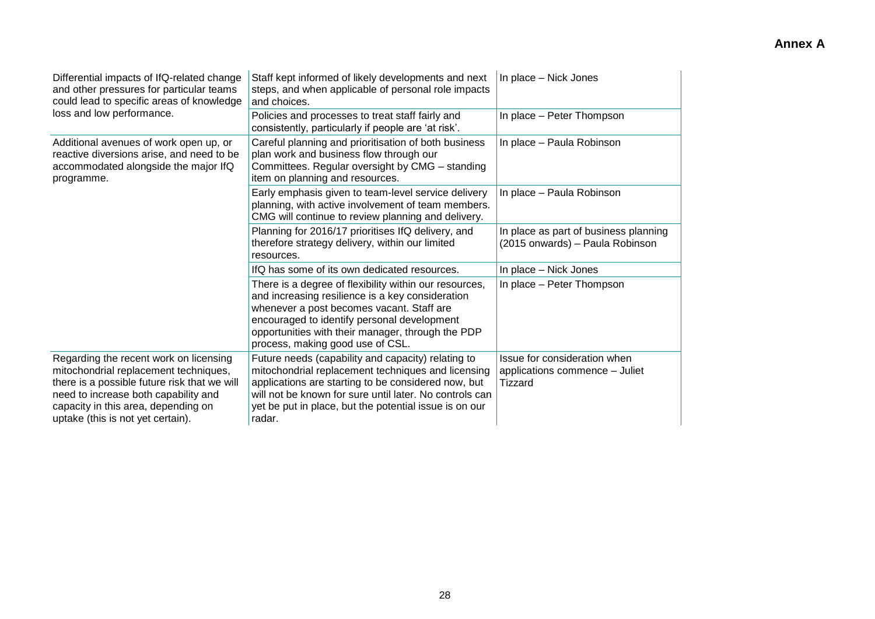| Differential impacts of IfQ-related change<br>and other pressures for particular teams<br>could lead to specific areas of knowledge                                                                                                                 | Staff kept informed of likely developments and next<br>steps, and when applicable of personal role impacts<br>and choices.                                                                                                                                                                      | In place - Nick Jones                                                     |  |
|-----------------------------------------------------------------------------------------------------------------------------------------------------------------------------------------------------------------------------------------------------|-------------------------------------------------------------------------------------------------------------------------------------------------------------------------------------------------------------------------------------------------------------------------------------------------|---------------------------------------------------------------------------|--|
| loss and low performance.                                                                                                                                                                                                                           | Policies and processes to treat staff fairly and<br>consistently, particularly if people are 'at risk'.                                                                                                                                                                                         | In place - Peter Thompson                                                 |  |
| Additional avenues of work open up, or<br>reactive diversions arise, and need to be<br>accommodated alongside the major IfQ<br>programme.                                                                                                           | Careful planning and prioritisation of both business<br>plan work and business flow through our<br>Committees. Regular oversight by CMG - standing<br>item on planning and resources.                                                                                                           | In place - Paula Robinson                                                 |  |
|                                                                                                                                                                                                                                                     | Early emphasis given to team-level service delivery<br>planning, with active involvement of team members.<br>CMG will continue to review planning and delivery.                                                                                                                                 | In place - Paula Robinson                                                 |  |
|                                                                                                                                                                                                                                                     | Planning for 2016/17 prioritises IfQ delivery, and<br>therefore strategy delivery, within our limited<br>resources.                                                                                                                                                                             | In place as part of business planning<br>(2015 onwards) - Paula Robinson  |  |
|                                                                                                                                                                                                                                                     | IfQ has some of its own dedicated resources.                                                                                                                                                                                                                                                    | In place - Nick Jones                                                     |  |
|                                                                                                                                                                                                                                                     | There is a degree of flexibility within our resources,<br>and increasing resilience is a key consideration<br>whenever a post becomes vacant. Staff are<br>encouraged to identify personal development<br>opportunities with their manager, through the PDP<br>process, making good use of CSL. | In place - Peter Thompson                                                 |  |
| Regarding the recent work on licensing<br>mitochondrial replacement techniques,<br>there is a possible future risk that we will<br>need to increase both capability and<br>capacity in this area, depending on<br>uptake (this is not yet certain). | Future needs (capability and capacity) relating to<br>mitochondrial replacement techniques and licensing<br>applications are starting to be considered now, but<br>will not be known for sure until later. No controls can<br>yet be put in place, but the potential issue is on our<br>radar.  | Issue for consideration when<br>applications commence - Juliet<br>Tizzard |  |